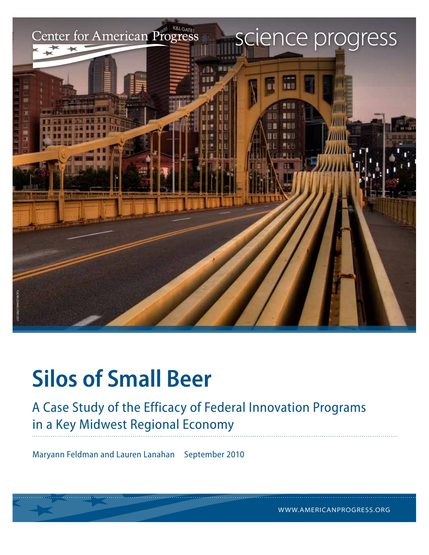

## **Silos of Small Beer**

A Case Study of the Efficacy of Federal Innovation Programs in a Key Midwest Regional Economy

Maryann Feldman and Lauren Lanahan September 2010

WWW.AMERICANPROGRESS.ORG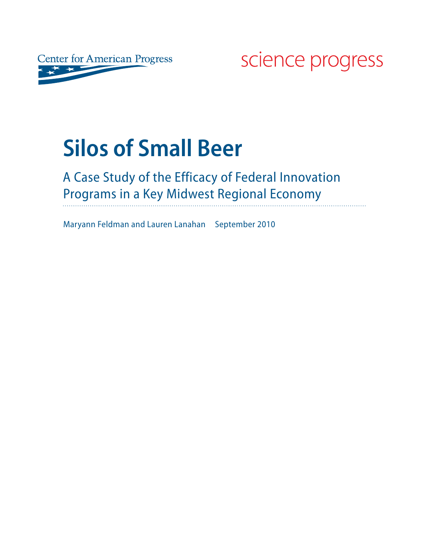

science progress

# **Silos of Small Beer**

### A Case Study of the Efficacy of Federal Innovation Programs in a Key Midwest Regional Economy

Maryann Feldman and Lauren Lanahan September 2010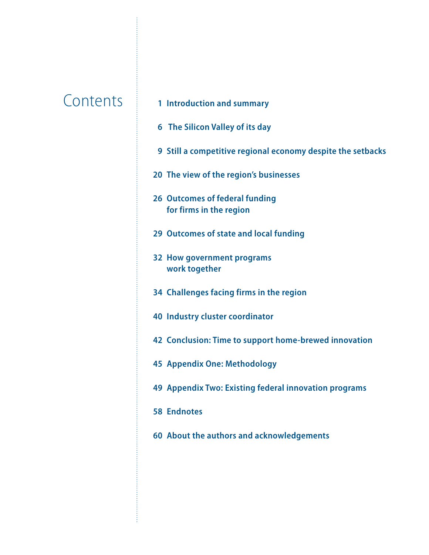- Contents **<sup>1</sup> Introduction and summary**
	- **6 The Silicon Valley of its day**
	- **Still a competitive regional economy despite the setbacks**
	- **The view of the region's businesses**
	- **Outcomes of federal funding for firms in the region**
	- **Outcomes of state and local funding**
	- **How government programs work together**
	- **Challenges facing firms in the region**
	- **Industry cluster coordinator**
	- **Conclusion: Time to support home-brewed innovation**
	- **Appendix One: Methodology**
	- **Appendix Two: Existing federal innovation programs**
	- **Endnotes**
	- **About the authors and acknowledgements**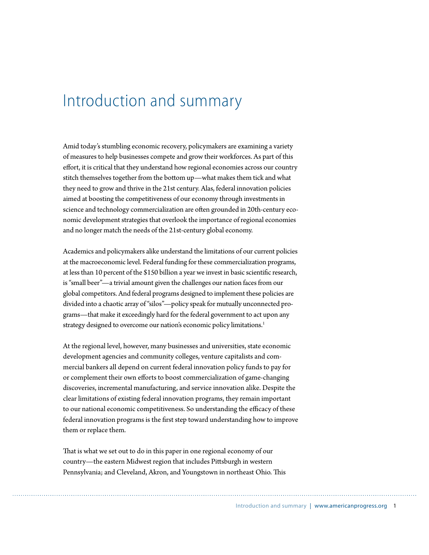### Introduction and summary

Amid today's stumbling economic recovery, policymakers are examining a variety of measures to help businesses compete and grow their workforces. As part of this effort, it is critical that they understand how regional economies across our country stitch themselves together from the bottom up—what makes them tick and what they need to grow and thrive in the 21st century. Alas, federal innovation policies aimed at boosting the competitiveness of our economy through investments in science and technology commercialization are often grounded in 20th-century economic development strategies that overlook the importance of regional economies and no longer match the needs of the 21st-century global economy.

Academics and policymakers alike understand the limitations of our current policies at the macroeconomic level. Federal funding for these commercialization programs, at less than 10 percent of the \$150 billion a year we invest in basic scientific research, is "small beer"—a trivial amount given the challenges our nation faces from our global competitors. And federal programs designed to implement these policies are divided into a chaotic array of "silos"—policy speak for mutually unconnected programs—that make it exceedingly hard for the federal government to act upon any strategy designed to overcome our nation's economic policy limitations.<sup>1</sup>

At the regional level, however, many businesses and universities, state economic development agencies and community colleges, venture capitalists and commercial bankers all depend on current federal innovation policy funds to pay for or complement their own efforts to boost commercialization of game-changing discoveries, incremental manufacturing, and service innovation alike. Despite the clear limitations of existing federal innovation programs, they remain important to our national economic competitiveness. So understanding the efficacy of these federal innovation programs is the first step toward understanding how to improve them or replace them.

That is what we set out to do in this paper in one regional economy of our country-the eastern Midwest region that includes Pittsburgh in western Pennsylvania; and Cleveland, Akron, and Youngstown in northeast Ohio. This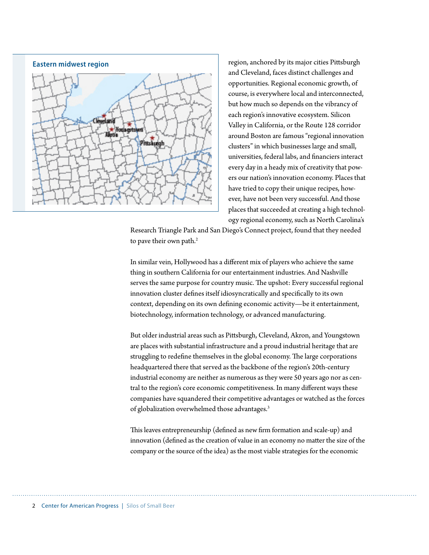

region, anchored by its major cities Pittsburgh and Cleveland, faces distinct challenges and opportunities. Regional economic growth, of course, is everywhere local and interconnected, but how much so depends on the vibrancy of each region's innovative ecosystem. Silicon Valley in California, or the Route 128 corridor around Boston are famous "regional innovation clusters" in which businesses large and small, universities, federal labs, and financiers interact every day in a heady mix of creativity that powers our nation's innovation economy. Places that have tried to copy their unique recipes, however, have not been very successful. And those places that succeeded at creating a high technology regional economy, such as North Carolina's

Research Triangle Park and San Diego's Connect project, found that they needed to pave their own path.<sup>2</sup>

In similar vein, Hollywood has a different mix of players who achieve the same thing in southern California for our entertainment industries. And Nashville serves the same purpose for country music. The upshot: Every successful regional innovation cluster defines itself idiosyncratically and specifically to its own context, depending on its own defining economic activity-be it entertainment, biotechnology, information technology, or advanced manufacturing.

But older industrial areas such as Pittsburgh, Cleveland, Akron, and Youngstown are places with substantial infrastructure and a proud industrial heritage that are struggling to redefine themselves in the global economy. The large corporations headquartered there that served as the backbone of the region's 20th-century industrial economy are neither as numerous as they were 50 years ago nor as central to the region's core economic competitiveness. In many different ways these companies have squandered their competitive advantages or watched as the forces of globalization overwhelmed those advantages.<sup>3</sup>

This leaves entrepreneurship (defined as new firm formation and scale-up) and innovation (defined as the creation of value in an economy no matter the size of the company or the source of the idea) as the most viable strategies for the economic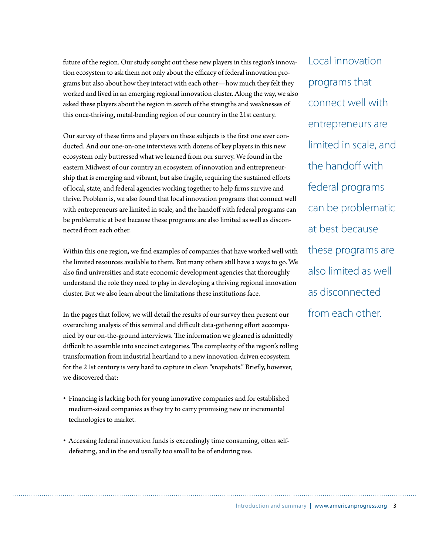future of the region. Our study sought out these new players in this region's innovation ecosystem to ask them not only about the efficacy of federal innovation programs but also about how they interact with each other—how much they felt they worked and lived in an emerging regional innovation cluster. Along the way, we also asked these players about the region in search of the strengths and weaknesses of this once-thriving, metal-bending region of our country in the 21st century.

Our survey of these firms and players on these subjects is the first one ever conducted. And our one-on-one interviews with dozens of key players in this new ecosystem only buttressed what we learned from our survey. We found in the eastern Midwest of our country an ecosystem of innovation and entrepreneurship that is emerging and vibrant, but also fragile, requiring the sustained efforts of local, state, and federal agencies working together to help firms survive and thrive. Problem is, we also found that local innovation programs that connect well with entrepreneurs are limited in scale, and the handoff with federal programs can be problematic at best because these programs are also limited as well as disconnected from each other.

Within this one region, we find examples of companies that have worked well with the limited resources available to them. But many others still have a ways to go. We also find universities and state economic development agencies that thoroughly understand the role they need to play in developing a thriving regional innovation cluster. But we also learn about the limitations these institutions face.

In the pages that follow, we will detail the results of our survey then present our overarching analysis of this seminal and difficult data-gathering effort accompanied by our on-the-ground interviews. The information we gleaned is admittedly difficult to assemble into succinct categories. The complexity of the region's rolling transformation from industrial heartland to a new innovation-driven ecosystem for the 21st century is very hard to capture in clean "snapshots." Briefly, however, we discovered that:

- r Financing is lacking both for young innovative companies and for established medium-sized companies as they try to carry promising new or incremental technologies to market.
- Accessing federal innovation funds is exceedingly time consuming, often selfdefeating, and in the end usually too small to be of enduring use.

Local innovation programs that connect well with entrepreneurs are limited in scale, and the handoff with federal programs can be problematic at best because these programs are also limited as well as disconnected from each other.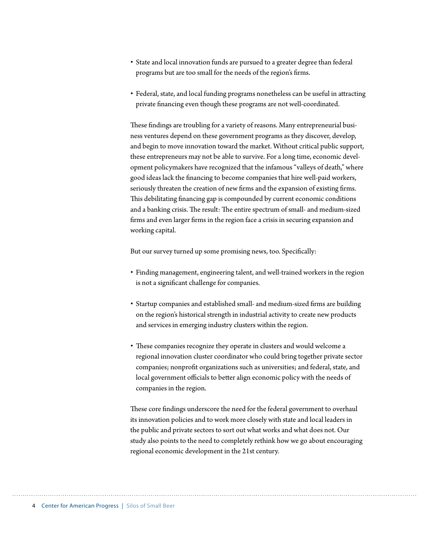- r State and local innovation funds are pursued to a greater degree than federal programs but are too small for the needs of the region's firms.
- Federal, state, and local funding programs nonetheless can be useful in attracting private financing even though these programs are not well-coordinated.

These findings are troubling for a variety of reasons. Many entrepreneurial business ventures depend on these government programs as they discover, develop, and begin to move innovation toward the market. Without critical public support, these entrepreneurs may not be able to survive. For a long time, economic development policymakers have recognized that the infamous "valleys of death," where good ideas lack the financing to become companies that hire well-paid workers, seriously threaten the creation of new firms and the expansion of existing firms. This debilitating financing gap is compounded by current economic conditions and a banking crisis. The result: The entire spectrum of small- and medium-sized firms and even larger firms in the region face a crisis in securing expansion and working capital.

But our survey turned up some promising news, too. Specifically:

- r Finding management, engineering talent, and well-trained workers in the region is not a significant challenge for companies.
- Startup companies and established small- and medium-sized firms are building on the region's historical strength in industrial activity to create new products and services in emerging industry clusters within the region.
- These companies recognize they operate in clusters and would welcome a regional innovation cluster coordinator who could bring together private sector companies; nonprofit organizations such as universities; and federal, state, and local government officials to better align economic policy with the needs of companies in the region.

These core findings underscore the need for the federal government to overhaul its innovation policies and to work more closely with state and local leaders in the public and private sectors to sort out what works and what does not. Our study also points to the need to completely rethink how we go about encouraging regional economic development in the 21st century.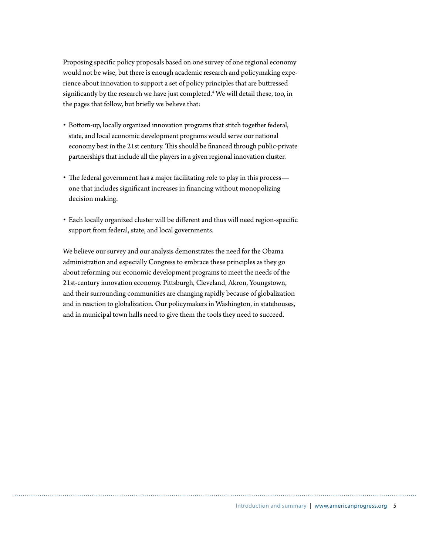Proposing specific policy proposals based on one survey of one regional economy would not be wise, but there is enough academic research and policymaking experience about innovation to support a set of policy principles that are buttressed significantly by the research we have just completed.<sup>4</sup> We will detail these, too, in the pages that follow, but briefly we believe that:

- Bottom-up, locally organized innovation programs that stitch together federal, state, and local economic development programs would serve our national economy best in the 21st century. This should be financed through public-private partnerships that include all the players in a given regional innovation cluster.
- The federal government has a major facilitating role to play in this process one that includes significant increases in financing without monopolizing decision making.
- Each locally organized cluster will be different and thus will need region-specific support from federal, state, and local governments.

We believe our survey and our analysis demonstrates the need for the Obama administration and especially Congress to embrace these principles as they go about reforming our economic development programs to meet the needs of the 21st-century innovation economy. Pittsburgh, Cleveland, Akron, Youngstown, and their surrounding communities are changing rapidly because of globalization and in reaction to globalization. Our policymakers in Washington, in statehouses, and in municipal town halls need to give them the tools they need to succeed.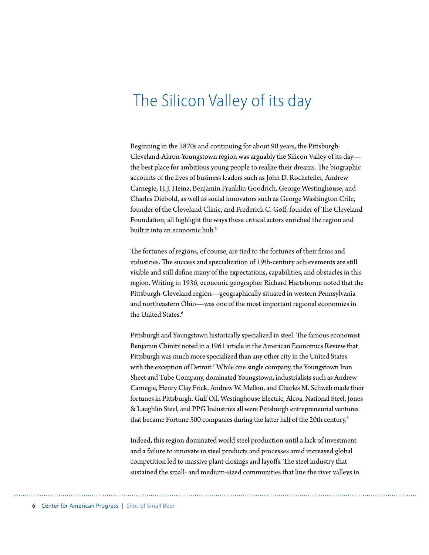### The Silicon Valley of its day

Beginning in the 1870s and continuing for about 90 years, the Pittsburgh-Cleveland-Akron-Youngstown region was arguably the Silicon Valley of its day the best place for ambitious young people to realize their dreams. The biographic accounts of the lives of business leaders such as John D. Rockefeller, Andrew Carnegie, H.J. Heinz, Benjamin Franklin Goodrich, George Westinghouse, and Charles Diebold, as well as social innovators such as George Washington Crile, founder of the Cleveland Clinic, and Frederick C. Goff, founder of The Cleveland Foundation, all highlight the ways these critical actors enriched the region and built it into an economic hub.<sup>5</sup>

The fortunes of regions, of course, are tied to the fortunes of their firms and industries. The success and specialization of 19th-century achievements are still visible and still define many of the expectations, capabilities, and obstacles in this region. Writing in 1936, economic geographer Richard Hartshorne noted that the Pittsburgh-Cleveland region—geographically situated in western Pennsylvania and northeastern Ohio—was one of the most important regional economies in the United States.<sup>6</sup>

Pittsburgh and Youngstown historically specialized in steel. The famous economist Benjamin Chinitz noted in a 1961 article in the American Economics Review that Pittsburgh was much more specialized than any other city in the United States with the exception of Detroit.7 While one single company, the Youngstown Iron Sheet and Tube Company, dominated Youngstown, industrialists such as Andrew Carnegie, Henry Clay Frick, Andrew W. Mellon, and Charles M. Schwab made their fortunes in Pittsburgh. Gulf Oil, Westinghouse Electric, Alcoa, National Steel, Jones & Laughlin Steel, and PPG Industries all were Pittsburgh entrepreneurial ventures that became Fortune 500 companies during the latter half of the 20th century.<sup>8</sup>

Indeed, this region dominated world steel production until a lack of investment and a failure to innovate in steel products and processes amid increased global competition led to massive plant closings and layoffs. The steel industry that sustained the small- and medium-sized communities that line the river valleys in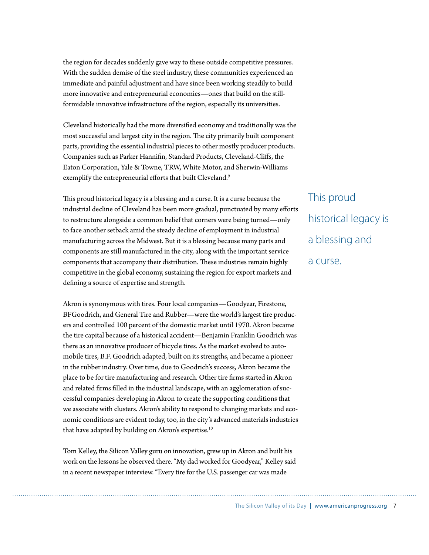the region for decades suddenly gave way to these outside competitive pressures. With the sudden demise of the steel industry, these communities experienced an immediate and painful adjustment and have since been working steadily to build more innovative and entrepreneurial economies—ones that build on the stillformidable innovative infrastructure of the region, especially its universities.

Cleveland historically had the more diversified economy and traditionally was the most successful and largest city in the region. The city primarily built component parts, providing the essential industrial pieces to other mostly producer products. Companies such as Parker Hannifin, Standard Products, Cleveland-Cliffs, the Eaton Corporation, Yale & Towne, TRW, White Motor, and Sherwin-Williams exemplify the entrepreneurial efforts that built Cleveland.<sup>9</sup>

This proud historical legacy is a blessing and a curse. It is a curse because the industrial decline of Cleveland has been more gradual, punctuated by many efforts to restructure alongside a common belief that corners were being turned—only to face another setback amid the steady decline of employment in industrial manufacturing across the Midwest. But it is a blessing because many parts and components are still manufactured in the city, along with the important service components that accompany their distribution. These industries remain highly competitive in the global economy, sustaining the region for export markets and defining a source of expertise and strength.

Akron is synonymous with tires. Four local companies—Goodyear, Firestone, BFGoodrich, and General Tire and Rubber—were the world's largest tire producers and controlled 100 percent of the domestic market until 1970. Akron became the tire capital because of a historical accident—Benjamin Franklin Goodrich was there as an innovative producer of bicycle tires. As the market evolved to automobile tires, B.F. Goodrich adapted, built on its strengths, and became a pioneer in the rubber industry. Over time, due to Goodrich's success, Akron became the place to be for tire manufacturing and research. Other tire firms started in Akron and related firms filled in the industrial landscape, with an agglomeration of successful companies developing in Akron to create the supporting conditions that we associate with clusters. Akron's ability to respond to changing markets and economic conditions are evident today, too, in the city's advanced materials industries that have adapted by building on Akron's expertise.<sup>10</sup>

Tom Kelley, the Silicon Valley guru on innovation, grew up in Akron and built his work on the lessons he observed there. "My dad worked for Goodyear," Kelley said in a recent newspaper interview. "Every tire for the U.S. passenger car was made

This proud historical legacy is a blessing and a curse.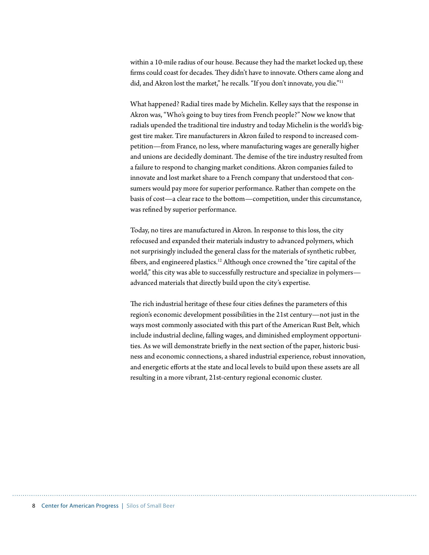within a 10-mile radius of our house. Because they had the market locked up, these firms could coast for decades. They didn't have to innovate. Others came along and did, and Akron lost the market," he recalls. "If you don't innovate, you die."<sup>11</sup>

What happened? Radial tires made by Michelin. Kelley says that the response in Akron was, "Who's going to buy tires from French people?" Now we know that radials upended the traditional tire industry and today Michelin is the world's biggest tire maker. Tire manufacturers in Akron failed to respond to increased competition—from France, no less, where manufacturing wages are generally higher and unions are decidedly dominant. The demise of the tire industry resulted from a failure to respond to changing market conditions. Akron companies failed to innovate and lost market share to a French company that understood that consumers would pay more for superior performance. Rather than compete on the basis of cost-a clear race to the bottom-competition, under this circumstance, was refined by superior performance.

Today, no tires are manufactured in Akron. In response to this loss, the city refocused and expanded their materials industry to advanced polymers, which not surprisingly included the general class for the materials of synthetic rubber, fibers, and engineered plastics.<sup>12</sup> Although once crowned the "tire capital of the world," this city was able to successfully restructure and specialize in polymers advanced materials that directly build upon the city's expertise.

The rich industrial heritage of these four cities defines the parameters of this region's economic development possibilities in the 21st century—not just in the ways most commonly associated with this part of the American Rust Belt, which include industrial decline, falling wages, and diminished employment opportunities. As we will demonstrate briefly in the next section of the paper, historic business and economic connections, a shared industrial experience, robust innovation, and energetic efforts at the state and local levels to build upon these assets are all resulting in a more vibrant, 21st-century regional economic cluster.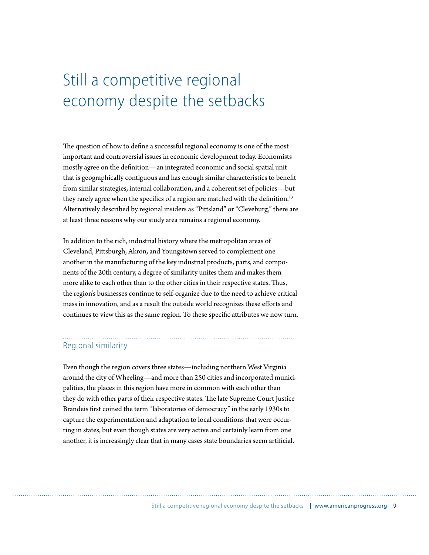### Still a competitive regional economy despite the setbacks

The question of how to define a successful regional economy is one of the most important and controversial issues in economic development today. Economists mostly agree on the definition—an integrated economic and social spatial unit that is geographically contiguous and has enough similar characteristics to benefit from similar strategies, internal collaboration, and a coherent set of policies—but they rarely agree when the specifics of a region are matched with the definition.<sup>13</sup> Alternatively described by regional insiders as "Pittsland" or "Cleveburg," there are at least three reasons why our study area remains a regional economy.

In addition to the rich, industrial history where the metropolitan areas of Cleveland, Pittsburgh, Akron, and Youngstown served to complement one another in the manufacturing of the key industrial products, parts, and components of the 20th century, a degree of similarity unites them and makes them more alike to each other than to the other cities in their respective states. Thus, the region's businesses continue to self-organize due to the need to achieve critical mass in innovation, and as a result the outside world recognizes these efforts and continues to view this as the same region. To these specific attributes we now turn.

#### Regional similarity

Even though the region covers three states—including northern West Virginia around the city of Wheeling—and more than 250 cities and incorporated municipalities, the places in this region have more in common with each other than they do with other parts of their respective states. The late Supreme Court Justice Brandeis first coined the term "laboratories of democracy" in the early 1930s to capture the experimentation and adaptation to local conditions that were occurring in states, but even though states are very active and certainly learn from one another, it is increasingly clear that in many cases state boundaries seem artificial.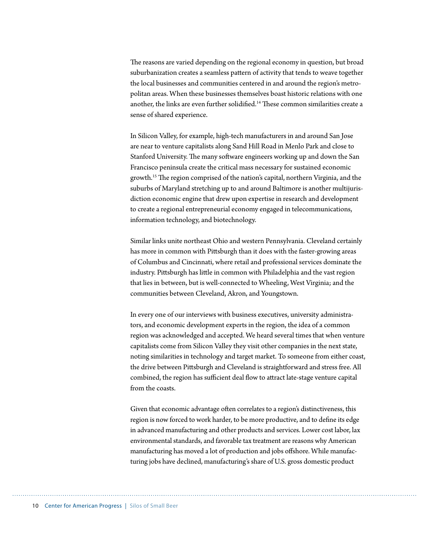The reasons are varied depending on the regional economy in question, but broad suburbanization creates a seamless pattern of activity that tends to weave together the local businesses and communities centered in and around the region's metropolitan areas. When these businesses themselves boast historic relations with one another, the links are even further solidified.<sup>14</sup> These common similarities create a sense of shared experience.

In Silicon Valley, for example, high-tech manufacturers in and around San Jose are near to venture capitalists along Sand Hill Road in Menlo Park and close to Stanford University. The many software engineers working up and down the San Francisco peninsula create the critical mass necessary for sustained economic growth.<sup>15</sup> The region comprised of the nation's capital, northern Virginia, and the suburbs of Maryland stretching up to and around Baltimore is another multijurisdiction economic engine that drew upon expertise in research and development to create a regional entrepreneurial economy engaged in telecommunications, information technology, and biotechnology.

Similar links unite northeast Ohio and western Pennsylvania. Cleveland certainly has more in common with Pittsburgh than it does with the faster-growing areas of Columbus and Cincinnati, where retail and professional services dominate the industry. Pittsburgh has little in common with Philadelphia and the vast region that lies in between, but is well-connected to Wheeling, West Virginia; and the communities between Cleveland, Akron, and Youngstown.

In every one of our interviews with business executives, university administrators, and economic development experts in the region, the idea of a common region was acknowledged and accepted. We heard several times that when venture capitalists come from Silicon Valley they visit other companies in the next state, noting similarities in technology and target market. To someone from either coast, the drive between Pittsburgh and Cleveland is straightforward and stress free. All combined, the region has sufficient deal flow to attract late-stage venture capital from the coasts.

Given that economic advantage often correlates to a region's distinctiveness, this region is now forced to work harder, to be more productive, and to define its edge in advanced manufacturing and other products and services. Lower cost labor, lax environmental standards, and favorable tax treatment are reasons why American manufacturing has moved a lot of production and jobs offshore. While manufacturing jobs have declined, manufacturing's share of U.S. gross domestic product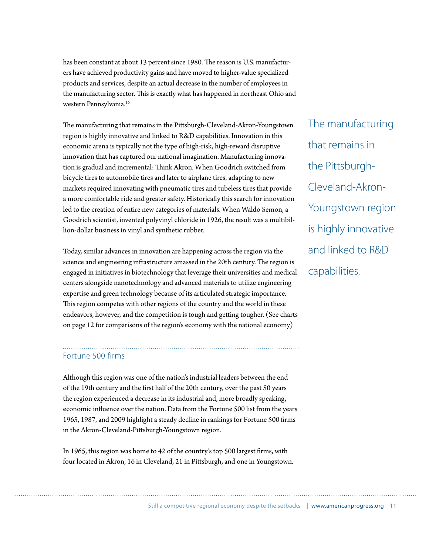has been constant at about 13 percent since 1980. The reason is U.S. manufacturers have achieved productivity gains and have moved to higher-value specialized products and services, despite an actual decrease in the number of employees in the manufacturing sector. This is exactly what has happened in northeast Ohio and western Pennsylvania.16

The manufacturing that remains in the Pittsburgh-Cleveland-Akron-Youngstown region is highly innovative and linked to R&D capabilities. Innovation in this economic arena is typically not the type of high-risk, high-reward disruptive innovation that has captured our national imagination. Manufacturing innovation is gradual and incremental: Think Akron. When Goodrich switched from bicycle tires to automobile tires and later to airplane tires, adapting to new markets required innovating with pneumatic tires and tubeless tires that provide a more comfortable ride and greater safety. Historically this search for innovation led to the creation of entire new categories of materials. When Waldo Semon, a Goodrich scientist, invented polyvinyl chloride in 1926, the result was a multibillion-dollar business in vinyl and synthetic rubber.

Today, similar advances in innovation are happening across the region via the science and engineering infrastructure amassed in the 20th century. The region is engaged in initiatives in biotechnology that leverage their universities and medical centers alongside nanotechnology and advanced materials to utilize engineering expertise and green technology because of its articulated strategic importance. This region competes with other regions of the country and the world in these endeavors, however, and the competition is tough and getting tougher. (See charts on page 12 for comparisons of the region's economy with the national economy)

#### Fortune 500 firms

Although this region was one of the nation's industrial leaders between the end of the 19th century and the first half of the 20th century, over the past 50 years the region experienced a decrease in its industrial and, more broadly speaking, economic influence over the nation. Data from the Fortune 500 list from the years 1965, 1987, and 2009 highlight a steady decline in rankings for Fortune 500 firms in the Akron-Cleveland-Pittsburgh-Youngstown region.

In 1965, this region was home to 42 of the country's top 500 largest firms, with four located in Akron, 16 in Cleveland, 21 in Pittsburgh, and one in Youngstown. The manufacturing that remains in the Pittsburgh-Cleveland-Akron-Youngstown region is highly innovative and linked to R&D capabilities.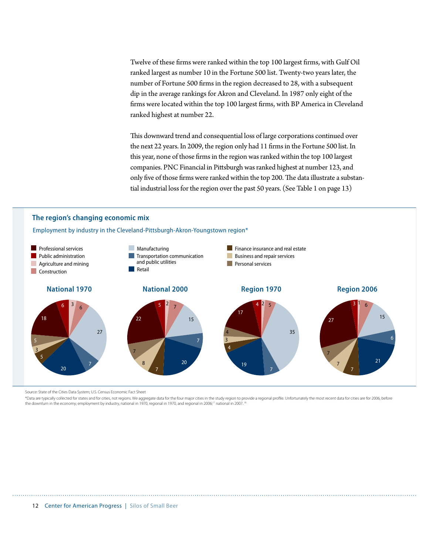Twelve of these firms were ranked within the top 100 largest firms, with Gulf Oil ranked largest as number 10 in the Fortune 500 list. Twenty-two years later, the number of Fortune 500 firms in the region decreased to 28, with a subsequent dip in the average rankings for Akron and Cleveland. In 1987 only eight of the firms were located within the top 100 largest firms, with BP America in Cleveland ranked highest at number 22.

This downward trend and consequential loss of large corporations continued over the next 22 years. In 2009, the region only had 11 firms in the Fortune 500 list. In this year, none of those firms in the region was ranked within the top 100 largest companies. PNC Financial in Pittsburgh was ranked highest at number 123, and only five of those firms were ranked within the top 200. The data illustrate a substantial industrial loss for the region over the past 50 years. (See Table 1 on page 13)

#### **The region's changing economic mix**

Employment by industry in the Cleveland-Pittsburgh-Akron-Youngstown region\*



Source: State of the Cities Data System; U.S. Census Economic Fact Sheet

\*Data are typically collected for states and for cities, not regions. We aggregate data for the four major cities in the study region to provide a regional profile. Unfortunately the most recent data for cities are for 200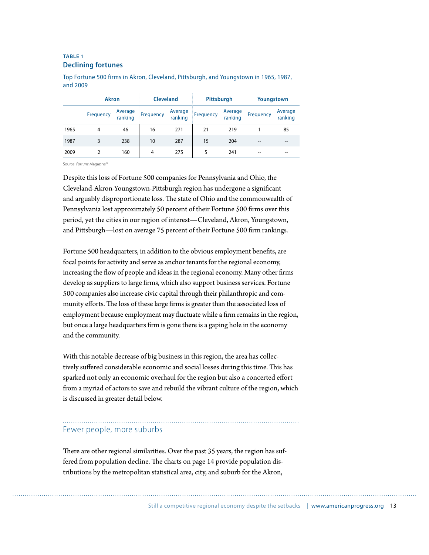#### **TABLE 1 Declining fortunes**

|      | <b>Akron</b> |                    | <b>Cleveland</b> |                    | Pittsburgh |                    | Youngstown |                    |
|------|--------------|--------------------|------------------|--------------------|------------|--------------------|------------|--------------------|
|      | Frequency    | Average<br>ranking | Frequency        | Average<br>ranking | Frequency  | Average<br>ranking | Frequency  | Average<br>ranking |
| 1965 | 4            | 46                 | 16               | 271                | 21         | 219                |            | 85                 |
| 1987 | 3            | 238                | 10               | 287                | 15         | 204                |            | --                 |
| 2009 |              | 160                | 4                | 275                |            | 241                | --         | --                 |

Top Fortune 500 firms in Akron, Cleveland, Pittsburgh, and Youngstown in 1965, 1987, and 2009

Source: Fortune Magazine<sup>19</sup>

Despite this loss of Fortune 500 companies for Pennsylvania and Ohio, the Cleveland-Akron-Youngstown-Pittsburgh region has undergone a significant and arguably disproportionate loss. The state of Ohio and the commonwealth of Pennsylvania lost approximately 50 percent of their Fortune 500 firms over this period, yet the cities in our region of interest—Cleveland, Akron, Youngstown, and Pittsburgh—lost on average 75 percent of their Fortune 500 firm rankings.

Fortune 500 headquarters, in addition to the obvious employment benefits, are focal points for activity and serve as anchor tenants for the regional economy, increasing the flow of people and ideas in the regional economy. Many other firms develop as suppliers to large firms, which also support business services. Fortune 500 companies also increase civic capital through their philanthropic and community efforts. The loss of these large firms is greater than the associated loss of employment because employment may fluctuate while a firm remains in the region, but once a large headquarters firm is gone there is a gaping hole in the economy and the community.

With this notable decrease of big business in this region, the area has collectively suffered considerable economic and social losses during this time. This has sparked not only an economic overhaul for the region but also a concerted effort from a myriad of actors to save and rebuild the vibrant culture of the region, which is discussed in greater detail below.

#### Fewer people, more suburbs

There are other regional similarities. Over the past 35 years, the region has suffered from population decline. The charts on page 14 provide population distributions by the metropolitan statistical area, city, and suburb for the Akron,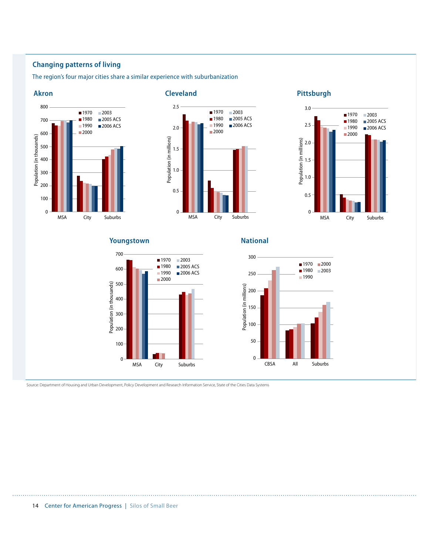#### **Changing patterns of living**

The region's four major cities share a similar experience with suburbanization







#### **Youngstown National**





Source: Department of Housing and Urban Development, Policy Development and Research Information Service, State of the Cities Data Systems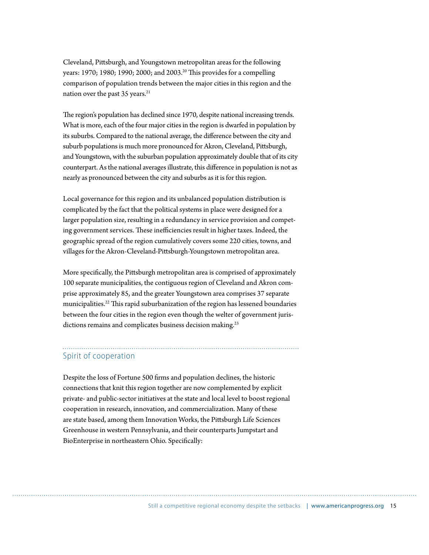Cleveland, Pittsburgh, and Youngstown metropolitan areas for the following years: 1970; 1980; 1990; 2000; and 2003.<sup>20</sup> This provides for a compelling comparison of population trends between the major cities in this region and the nation over the past 35 years.<sup>21</sup>

The region's population has declined since 1970, despite national increasing trends. What is more, each of the four major cities in the region is dwarfed in population by its suburbs. Compared to the national average, the difference between the city and suburb populations is much more pronounced for Akron, Cleveland, Pittsburgh, and Youngstown, with the suburban population approximately double that of its city counterpart. As the national averages illustrate, this difference in population is not as nearly as pronounced between the city and suburbs as it is for this region.

Local governance for this region and its unbalanced population distribution is complicated by the fact that the political systems in place were designed for a larger population size, resulting in a redundancy in service provision and competing government services. These inefficiencies result in higher taxes. Indeed, the geographic spread of the region cumulatively covers some 220 cities, towns, and villages for the Akron-Cleveland-Pittsburgh-Youngstown metropolitan area.

More specifically, the Pittsburgh metropolitan area is comprised of approximately 100 separate municipalities, the contiguous region of Cleveland and Akron comprise approximately 85, and the greater Youngstown area comprises 37 separate municipalities.<sup>22</sup> This rapid suburbanization of the region has lessened boundaries between the four cities in the region even though the welter of government jurisdictions remains and complicates business decision making.<sup>23</sup>

#### Spirit of cooperation

Despite the loss of Fortune 500 firms and population declines, the historic connections that knit this region together are now complemented by explicit private- and public-sector initiatives at the state and local level to boost regional cooperation in research, innovation, and commercialization. Many of these are state based, among them Innovation Works, the Pittsburgh Life Sciences Greenhouse in western Pennsylvania, and their counterparts Jumpstart and BioEnterprise in northeastern Ohio. Specifically: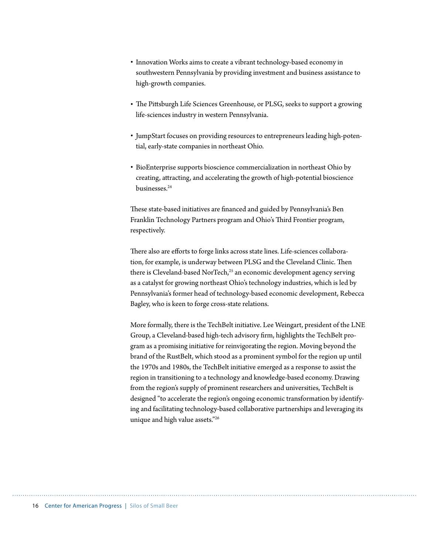- Innovation Works aims to create a vibrant technology-based economy in southwestern Pennsylvania by providing investment and business assistance to high-growth companies.
- The Pittsburgh Life Sciences Greenhouse, or PLSG, seeks to support a growing life-sciences industry in western Pennsylvania.
- JumpStart focuses on providing resources to entrepreneurs leading high-potential, early-state companies in northeast Ohio.
- r BioEnterprise supports bioscience commercialization in northeast Ohio by creating, attracting, and accelerating the growth of high-potential bioscience businesses.24

These state-based initiatives are financed and guided by Pennsylvania's Ben Franklin Technology Partners program and Ohio's Third Frontier program, respectively.

There also are efforts to forge links across state lines. Life-sciences collaboration, for example, is underway between PLSG and the Cleveland Clinic. Then there is Cleveland-based NorTech,<sup>25</sup> an economic development agency serving as a catalyst for growing northeast Ohio's technology industries, which is led by Pennsylvania's former head of technology-based economic development, Rebecca Bagley, who is keen to forge cross-state relations.

More formally, there is the TechBelt initiative. Lee Weingart, president of the LNE Group, a Cleveland-based high-tech advisory firm, highlights the TechBelt program as a promising initiative for reinvigorating the region. Moving beyond the brand of the RustBelt, which stood as a prominent symbol for the region up until the 1970s and 1980s, the TechBelt initiative emerged as a response to assist the region in transitioning to a technology and knowledge-based economy. Drawing from the region's supply of prominent researchers and universities, TechBelt is designed "to accelerate the region's ongoing economic transformation by identifying and facilitating technology-based collaborative partnerships and leveraging its unique and high value assets."26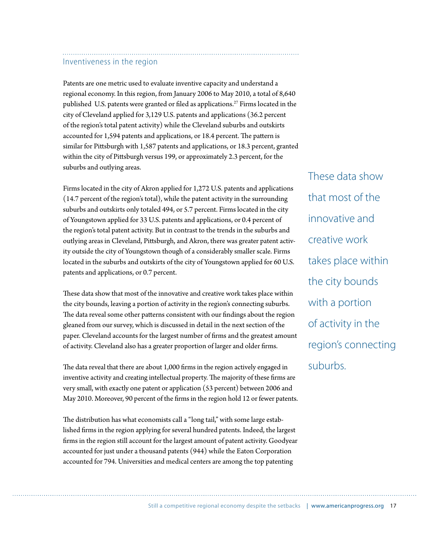#### Inventiveness in the region

Patents are one metric used to evaluate inventive capacity and understand a regional economy. In this region, from January 2006 to May 2010, a total of 8,640 published U.S. patents were granted or filed as applications.<sup>27</sup> Firms located in the city of Cleveland applied for 3,129 U.S. patents and applications (36.2 percent of the region's total patent activity) while the Cleveland suburbs and outskirts accounted for 1,594 patents and applications, or 18.4 percent. The pattern is similar for Pittsburgh with 1,587 patents and applications, or 18.3 percent, granted within the city of Pittsburgh versus 199, or approximately 2.3 percent, for the suburbs and outlying areas.

Firms located in the city of Akron applied for 1,272 U.S. patents and applications (14.7 percent of the region's total), while the patent activity in the surrounding suburbs and outskirts only totaled 494, or 5.7 percent. Firms located in the city of Youngstown applied for 33 U.S. patents and applications, or 0.4 percent of the region's total patent activity. But in contrast to the trends in the suburbs and outlying areas in Cleveland, Pittsburgh, and Akron, there was greater patent activity outside the city of Youngstown though of a considerably smaller scale. Firms located in the suburbs and outskirts of the city of Youngstown applied for 60 U.S. patents and applications, or 0.7 percent.

These data show that most of the innovative and creative work takes place within the city bounds, leaving a portion of activity in the region's connecting suburbs. The data reveal some other patterns consistent with our findings about the region gleaned from our survey, which is discussed in detail in the next section of the paper. Cleveland accounts for the largest number of firms and the greatest amount of activity. Cleveland also has a greater proportion of larger and older firms.

The data reveal that there are about 1,000 firms in the region actively engaged in inventive activity and creating intellectual property. The majority of these firms are very small, with exactly one patent or application (53 percent) between 2006 and May 2010. Moreover, 90 percent of the firms in the region hold 12 or fewer patents.

The distribution has what economists call a "long tail," with some large established firms in the region applying for several hundred patents. Indeed, the largest firms in the region still account for the largest amount of patent activity. Goodyear accounted for just under a thousand patents (944) while the Eaton Corporation accounted for 794. Universities and medical centers are among the top patenting

These data show that most of the innovative and creative work takes place within the city bounds with a portion of activity in the region's connecting suburbs.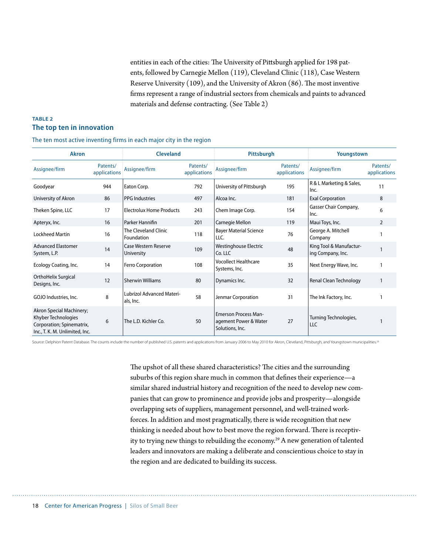entities in each of the cities: The University of Pittsburgh applied for 198 patents, followed by Carnegie Mellon (119), Cleveland Clinic (118), Case Western Reserve University  $(109)$ , and the University of Akron  $(86)$ . The most inventive firms represent a range of industrial sectors from chemicals and paints to advanced materials and defense contracting. (See Table 2)

#### **TABLE 2 The top ten in innovation**

| The ten most active inventing firms in each major city in the region |  |  |  |  |  |  |
|----------------------------------------------------------------------|--|--|--|--|--|--|
|----------------------------------------------------------------------|--|--|--|--|--|--|

| <b>Akron</b>                                                                                                   |                          | <b>Cleveland</b>                              |                          |                                                                         | Pittsburgh<br>Youngstown |                                              |                          |
|----------------------------------------------------------------------------------------------------------------|--------------------------|-----------------------------------------------|--------------------------|-------------------------------------------------------------------------|--------------------------|----------------------------------------------|--------------------------|
| Assignee/firm                                                                                                  | Patents/<br>applications | Assignee/firm                                 | Patents/<br>applications | Assignee/firm                                                           | Patents/<br>applications | Assignee/firm                                | Patents/<br>applications |
| Goodyear                                                                                                       | 944                      | Eaton Corp.                                   | 792                      | University of Pittsburgh                                                | 195                      | R & L Marketing & Sales,<br>Inc.             | 11                       |
| University of Akron                                                                                            | 86                       | <b>PPG Industries</b>                         | 497                      | Alcoa Inc.                                                              | 181                      | <b>Exal Corporation</b>                      | 8                        |
| Theken Spine, LLC                                                                                              | 17                       | <b>Electrolux Home Products</b>               | 243                      | Chem Image Corp.                                                        | 154                      | Gasser Chair Company,<br>Inc.                | 6                        |
| Apteryx, Inc.                                                                                                  | 16                       | Parker Hannifin                               | 201                      | Carnegie Mellon                                                         | 119                      | Maui Toys, Inc.                              | $\overline{2}$           |
| <b>Lockheed Martin</b>                                                                                         | 16                       | The Cleveland Clinic<br>Foundation            | 118                      | <b>Bayer Material Science</b><br>LLC.                                   | 76                       | George A. Mitchell<br>Company                |                          |
| <b>Advanced Elastomer</b><br>System, L.P.                                                                      | 14                       | Case Western Reserve<br>University            | 109                      | Westinghouse Electric<br>Co. LLC                                        | 48                       | King Tool & Manufactur-<br>ing Company, Inc. |                          |
| Ecology Coating, Inc.                                                                                          | 14                       | Ferro Corporation                             | 108                      | <b>Vocollect Healthcare</b><br>Systems, Inc.                            | 35                       | Next Energy Wave, Inc.                       |                          |
| OrthoHelix Surgical<br>Designs, Inc.                                                                           | 12                       | <b>Sherwin Williams</b>                       | 80                       | Dynamics Inc.                                                           | 32                       | <b>Renal Clean Technology</b>                |                          |
| GOJO Industries, Inc.                                                                                          | 8                        | <b>Lubrizol Advanced Materi-</b><br>als, Inc. | 58                       | Jenmar Corporation                                                      | 31                       | The Ink Factory, Inc.                        |                          |
| Akron Special Machinery;<br>Khyber Technologies<br>Corporation; Spinematrix,<br>Inc., T. K. M. Unlimited, Inc. | 6                        | The L.D. Kichler Co.                          | 50                       | <b>Emerson Process Man-</b><br>agement Power & Water<br>Solutions, Inc. | 27                       | Turning Technologies,<br><b>LLC</b>          |                          |

Source: Delphion Patent Database. The counts include the number of published U.S. patents and applications from January 2006 to May 2010 for Akron, Cleveland, Pittsburgh, and Youngstown municipalities.<sup>21</sup>

The upshot of all these shared characteristics? The cities and the surrounding suburbs of this region share much in common that defines their experience—a similar shared industrial history and recognition of the need to develop new companies that can grow to prominence and provide jobs and prosperity—alongside overlapping sets of suppliers, management personnel, and well-trained workforces. In addition and most pragmatically, there is wide recognition that new thinking is needed about how to best move the region forward. There is receptivity to trying new things to rebuilding the economy.<sup>29</sup> A new generation of talented leaders and innovators are making a deliberate and conscientious choice to stay in the region and are dedicated to building its success.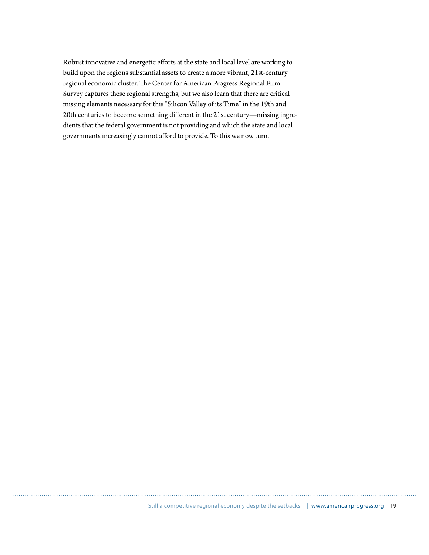Robust innovative and energetic efforts at the state and local level are working to build upon the regions substantial assets to create a more vibrant, 21st-century regional economic cluster. The Center for American Progress Regional Firm Survey captures these regional strengths, but we also learn that there are critical missing elements necessary for this "Silicon Valley of its Time" in the 19th and 20th centuries to become something different in the 21st century-missing ingredients that the federal government is not providing and which the state and local governments increasingly cannot afford to provide. To this we now turn.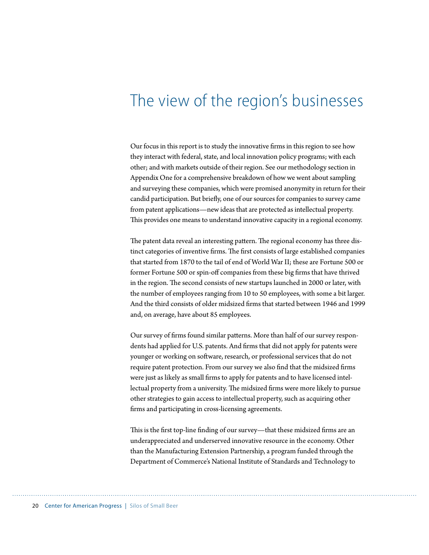### The view of the region's businesses

Our focus in this report is to study the innovative firms in this region to see how they interact with federal, state, and local innovation policy programs; with each other; and with markets outside of their region. See our methodology section in Appendix One for a comprehensive breakdown of how we went about sampling and surveying these companies, which were promised anonymity in return for their candid participation. But briefly, one of our sources for companies to survey came from patent applications—new ideas that are protected as intellectual property. This provides one means to understand innovative capacity in a regional economy.

The patent data reveal an interesting pattern. The regional economy has three distinct categories of inventive firms. The first consists of large established companies that started from 1870 to the tail of end of World War II; these are Fortune 500 or former Fortune 500 or spin-off companies from these big firms that have thrived in the region. The second consists of new startups launched in 2000 or later, with the number of employees ranging from 10 to 50 employees, with some a bit larger. And the third consists of older midsized firms that started between 1946 and 1999 and, on average, have about 85 employees.

Our survey of firms found similar patterns. More than half of our survey respondents had applied for U.S. patents. And firms that did not apply for patents were younger or working on software, research, or professional services that do not require patent protection. From our survey we also find that the midsized firms were just as likely as small firms to apply for patents and to have licensed intellectual property from a university. The midsized firms were more likely to pursue other strategies to gain access to intellectual property, such as acquiring other firms and participating in cross-licensing agreements.

This is the first top-line finding of our survey—that these midsized firms are an underappreciated and underserved innovative resource in the economy. Other than the Manufacturing Extension Partnership, a program funded through the Department of Commerce's National Institute of Standards and Technology to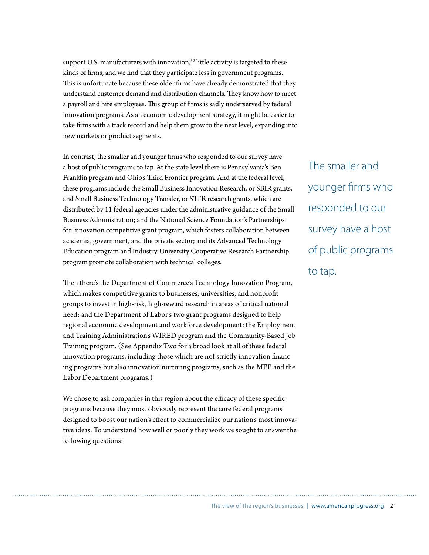support U.S. manufacturers with innovation,<sup>30</sup> little activity is targeted to these kinds of firms, and we find that they participate less in government programs. This is unfortunate because these older firms have already demonstrated that they understand customer demand and distribution channels. They know how to meet a payroll and hire employees. This group of firms is sadly underserved by federal innovation programs. As an economic development strategy, it might be easier to take firms with a track record and help them grow to the next level, expanding into new markets or product segments.

In contrast, the smaller and younger firms who responded to our survey have a host of public programs to tap. At the state level there is Pennsylvania's Ben Franklin program and Ohio's Third Frontier program. And at the federal level, these programs include the Small Business Innovation Research, or SBIR grants, and Small Business Technology Transfer, or STTR research grants, which are distributed by 11 federal agencies under the administrative guidance of the Small Business Administration; and the National Science Foundation's Partnerships for Innovation competitive grant program, which fosters collaboration between academia, government, and the private sector; and its Advanced Technology Education program and Industry-University Cooperative Research Partnership program promote collaboration with technical colleges.

Then there's the Department of Commerce's Technology Innovation Program, which makes competitive grants to businesses, universities, and nonprofit groups to invest in high-risk, high-reward research in areas of critical national need; and the Department of Labor's two grant programs designed to help regional economic development and workforce development: the Employment and Training Administration's WIRED program and the Community-Based Job Training program. (See Appendix Two for a broad look at all of these federal innovation programs, including those which are not strictly innovation financing programs but also innovation nurturing programs, such as the MEP and the Labor Department programs.)

We chose to ask companies in this region about the efficacy of these specific programs because they most obviously represent the core federal programs designed to boost our nation's effort to commercialize our nation's most innovative ideas. To understand how well or poorly they work we sought to answer the following questions:

The smaller and younger firms who responded to our survey have a host of public programs to tap.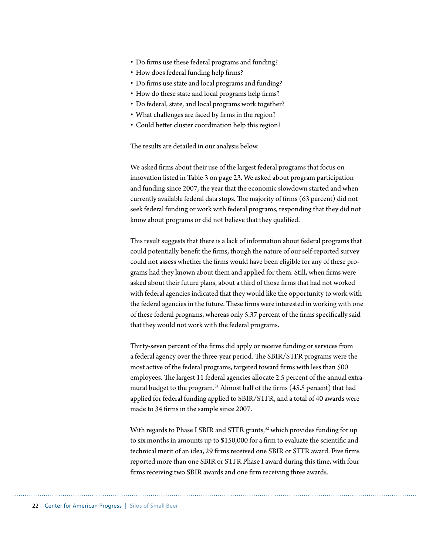- Do firms use these federal programs and funding?
- How does federal funding help firms?
- Do firms use state and local programs and funding?
- How do these state and local programs help firms?
- Do federal, state, and local programs work together?
- What challenges are faced by firms in the region?
- Could better cluster coordination help this region?

The results are detailed in our analysis below.

We asked firms about their use of the largest federal programs that focus on innovation listed in Table 3 on page 23. We asked about program participation and funding since 2007, the year that the economic slowdown started and when currently available federal data stops. The majority of firms  $(63$  percent) did not seek federal funding or work with federal programs, responding that they did not know about programs or did not believe that they qualified.

This result suggests that there is a lack of information about federal programs that could potentially benefit the firms, though the nature of our self-reported survey could not assess whether the firms would have been eligible for any of these programs had they known about them and applied for them. Still, when firms were asked about their future plans, about a third of those firms that had not worked with federal agencies indicated that they would like the opportunity to work with the federal agencies in the future. These firms were interested in working with one of these federal programs, whereas only 5.37 percent of the firms specifically said that they would not work with the federal programs.

Thirty-seven percent of the firms did apply or receive funding or services from a federal agency over the three-year period. The SBIR/STTR programs were the most active of the federal programs, targeted toward firms with less than 500 employees. The largest 11 federal agencies allocate 2.5 percent of the annual extramural budget to the program.<sup>31</sup> Almost half of the firms (45.5 percent) that had applied for federal funding applied to SBIR/STTR, and a total of 40 awards were made to 34 firms in the sample since 2007.

With regards to Phase I SBIR and STTR grants, $32$  which provides funding for up to six months in amounts up to  $$150,000$  for a firm to evaluate the scientific and technical merit of an idea, 29 firms received one SBIR or STTR award. Five firms reported more than one SBIR or STTR Phase I award during this time, with four firms receiving two SBIR awards and one firm receiving three awards.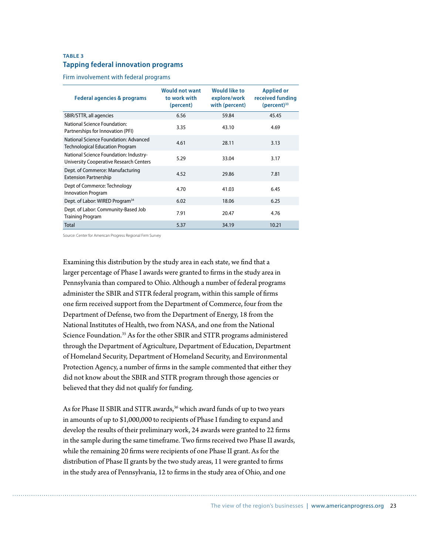#### **TABLE 3 Tapping federal innovation programs**

Firm involvement with federal programs

| Federal agencies & programs                                                       | <b>Would not want</b><br>to work with<br>(percent) | <b>Would like to</b><br>explore/work<br>with (percent) | <b>Applied or</b><br>received funding<br>$(percent)^{33}$ |
|-----------------------------------------------------------------------------------|----------------------------------------------------|--------------------------------------------------------|-----------------------------------------------------------|
| SBIR/STTR, all agencies                                                           | 6.56                                               | 59.84                                                  | 45.45                                                     |
| National Science Foundation:<br>Partnerships for Innovation (PFI)                 | 3.35                                               | 43.10                                                  | 4.69                                                      |
| National Science Foundation: Advanced<br>Technological Education Program          | 4.61                                               | 28.11                                                  | 3.13                                                      |
| National Science Foundation: Industry-<br>University Cooperative Research Centers | 5.29                                               | 33.04                                                  | 3.17                                                      |
| Dept. of Commerce: Manufacturing<br><b>Extension Partnership</b>                  | 4.52                                               | 29.86                                                  | 7.81                                                      |
| Dept of Commerce: Technology<br><b>Innovation Program</b>                         | 4.70                                               | 41.03                                                  | 6.45                                                      |
| Dept. of Labor: WIRED Program <sup>34</sup>                                       | 6.02                                               | 18.06                                                  | 6.25                                                      |
| Dept. of Labor: Community-Based Job<br><b>Training Program</b>                    | 7.91                                               | 20.47                                                  | 4.76                                                      |
| Total                                                                             | 5.37                                               | 34.19                                                  | 10.21                                                     |

Source: Center for American Progress Regional Firm Survey

Examining this distribution by the study area in each state, we find that a larger percentage of Phase I awards were granted to firms in the study area in Pennsylvania than compared to Ohio. Although a number of federal programs administer the SBIR and STTR federal program, within this sample of firms one firm received support from the Department of Commerce, four from the Department of Defense, two from the Department of Energy, 18 from the National Institutes of Health, two from NASA, and one from the National Science Foundation.<sup>35</sup> As for the other SBIR and STTR programs administered through the Department of Agriculture, Department of Education, Department of Homeland Security, Department of Homeland Security, and Environmental Protection Agency, a number of firms in the sample commented that either they did not know about the SBIR and STTR program through those agencies or believed that they did not qualify for funding.

As for Phase II SBIR and STTR awards, $36$  which award funds of up to two years in amounts of up to \$1,000,000 to recipients of Phase I funding to expand and develop the results of their preliminary work, 24 awards were granted to 22 firms in the sample during the same timeframe. Two firms received two Phase II awards, while the remaining 20 firms were recipients of one Phase II grant. As for the distribution of Phase II grants by the two study areas, 11 were granted to firms in the study area of Pennsylvania, 12 to firms in the study area of Ohio, and one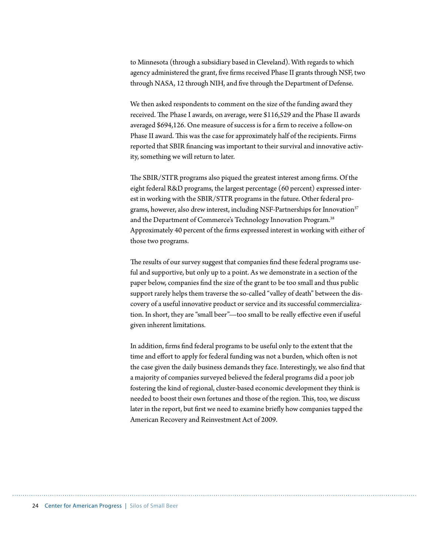to Minnesota (through a subsidiary based in Cleveland). With regards to which agency administered the grant, five firms received Phase II grants through NSF, two through NASA, 12 through NIH, and five through the Department of Defense.

We then asked respondents to comment on the size of the funding award they received. The Phase I awards, on average, were \$116,529 and the Phase II awards averaged \$694,126. One measure of success is for a firm to receive a follow-on Phase II award. This was the case for approximately half of the recipients. Firms reported that SBIR financing was important to their survival and innovative activity, something we will return to later.

The SBIR/STTR programs also piqued the greatest interest among firms. Of the eight federal R&D programs, the largest percentage (60 percent) expressed interest in working with the SBIR/STTR programs in the future. Other federal programs, however, also drew interest, including NSF-Partnerships for Innovation<sup>37</sup> and the Department of Commerce's Technology Innovation Program.38 Approximately 40 percent of the firms expressed interest in working with either of those two programs.

The results of our survey suggest that companies find these federal programs useful and supportive, but only up to a point. As we demonstrate in a section of the paper below, companies find the size of the grant to be too small and thus public support rarely helps them traverse the so-called "valley of death" between the discovery of a useful innovative product or service and its successful commercialization. In short, they are "small beer"--too small to be really effective even if useful given inherent limitations.

In addition, firms find federal programs to be useful only to the extent that the time and effort to apply for federal funding was not a burden, which often is not the case given the daily business demands they face. Interestingly, we also find that a majority of companies surveyed believed the federal programs did a poor job fostering the kind of regional, cluster-based economic development they think is needed to boost their own fortunes and those of the region. This, too, we discuss later in the report, but first we need to examine briefly how companies tapped the American Recovery and Reinvestment Act of 2009.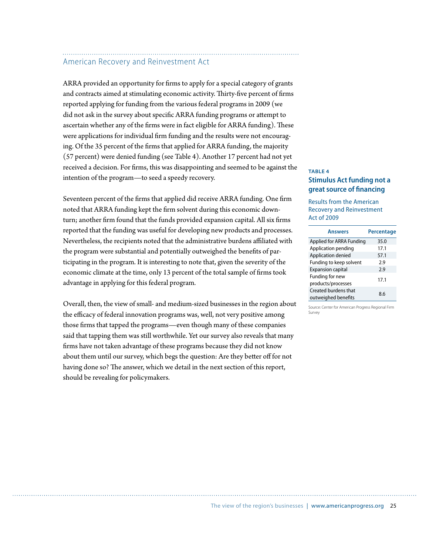#### American Recovery and Reinvestment Act

ARRA provided an opportunity for firms to apply for a special category of grants and contracts aimed at stimulating economic activity. Thirty-five percent of firms reported applying for funding from the various federal programs in 2009 (we did not ask in the survey about specific ARRA funding programs or attempt to ascertain whether any of the firms were in fact eligible for ARRA funding). These were applications for individual firm funding and the results were not encouraging. Of the 35 percent of the firms that applied for ARRA funding, the majority (57 percent) were denied funding (see Table 4). Another 17 percent had not yet received a decision. For firms, this was disappointing and seemed to be against the intention of the program—to seed a speedy recovery.

Seventeen percent of the firms that applied did receive ARRA funding. One firm noted that ARRA funding kept the firm solvent during this economic downturn; another firm found that the funds provided expansion capital. All six firms reported that the funding was useful for developing new products and processes. Nevertheless, the recipients noted that the administrative burdens affiliated with the program were substantial and potentially outweighed the benefits of participating in the program. It is interesting to note that, given the severity of the economic climate at the time, only 13 percent of the total sample of firms took advantage in applying for this federal program.

Overall, then, the view of small- and medium-sized businesses in the region about the efficacy of federal innovation programs was, well, not very positive among those firms that tapped the programs—even though many of these companies said that tapping them was still worthwhile. Yet our survey also reveals that many firms have not taken advantage of these programs because they did not know about them until our survey, which begs the question: Are they better off for not having done so? The answer, which we detail in the next section of this report, should be revealing for policymakers.

#### **TABLE 4 Stimulus Act funding not a great source of financing**

Results from the American Recovery and Reinvestment Act of 2009

| <b>Answers</b>                              | Percentage |
|---------------------------------------------|------------|
| Applied for ARRA Funding                    | 35.0       |
| Application pending                         | 17.1       |
| Application denied                          | 57.1       |
| Funding to keep solvent                     | 2.9        |
| <b>Expansion capital</b>                    | 2.9        |
| Funding for new<br>products/processes       | 17.1       |
| Created burdens that<br>outweighed benefits | 8.6        |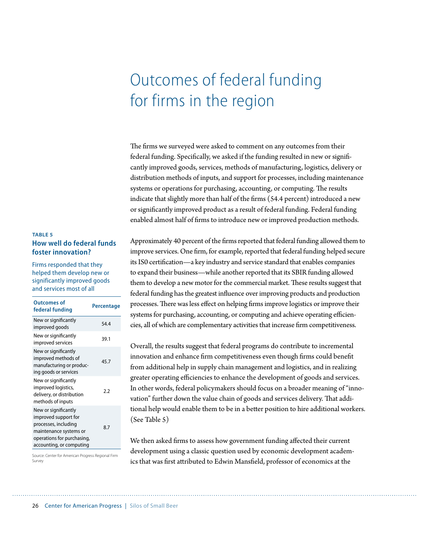## Outcomes of federal funding for firms in the region

The firms we surveyed were asked to comment on any outcomes from their federal funding. Specifically, we asked if the funding resulted in new or significantly improved goods, services, methods of manufacturing, logistics, delivery or distribution methods of inputs, and support for processes, including maintenance systems or operations for purchasing, accounting, or computing. The results indicate that slightly more than half of the firms  $(54.4$  percent) introduced a new or significantly improved product as a result of federal funding. Federal funding enabled almost half of firms to introduce new or improved production methods.

Approximately 40 percent of the firms reported that federal funding allowed them to improve services. One firm, for example, reported that federal funding helped secure its ISO certification—a key industry and service standard that enables companies to expand their business—while another reported that its SBIR funding allowed them to develop a new motor for the commercial market. These results suggest that federal funding has the greatest influence over improving products and production processes. There was less effect on helping firms improve logistics or improve their systems for purchasing, accounting, or computing and achieve operating efficiencies, all of which are complementary activities that increase firm competitiveness.

Overall, the results suggest that federal programs do contribute to incremental innovation and enhance firm competitiveness even though firms could benefit from additional help in supply chain management and logistics, and in realizing greater operating efficiencies to enhance the development of goods and services. In other words, federal policymakers should focus on a broader meaning of "innovation" further down the value chain of goods and services delivery. That additional help would enable them to be in a better position to hire additional workers. (See Table 5)

We then asked firms to assess how government funding affected their current development using a classic question used by economic development academics that was first attributed to Edwin Mansfield, professor of economics at the

#### **TABLE 5 How well do federal funds foster innovation?**

Firms responded that they helped them develop new or significantly improved goods and services most of all

| <b>Outcomes of</b><br>federal funding                                                                                                                    | Percentage |
|----------------------------------------------------------------------------------------------------------------------------------------------------------|------------|
| New or significantly<br>improved goods                                                                                                                   | 54.4       |
| New or significantly<br>improved services                                                                                                                | 39.1       |
| New or significantly<br>improved methods of<br>manufacturing or produc-<br>ing goods or services                                                         | 45.7       |
| New or significantly<br>improved logistics,<br>delivery, or distribution<br>methods of inputs                                                            | 2.2        |
| New or significantly<br>improved support for<br>processes, including<br>maintenance systems or<br>operations for purchasing,<br>accounting, or computing | 8.7        |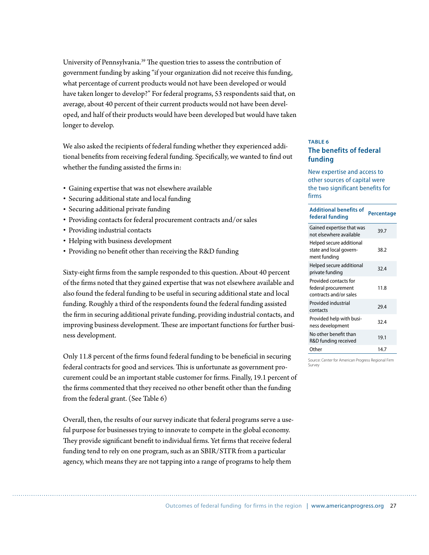University of Pennsylvania.<sup>39</sup> The question tries to assess the contribution of government funding by asking "if your organization did not receive this funding, what percentage of current products would not have been developed or would have taken longer to develop?" For federal programs, 53 respondents said that, on average, about 40 percent of their current products would not have been developed, and half of their products would have been developed but would have taken longer to develop.

We also asked the recipients of federal funding whether they experienced additional benefits from receiving federal funding. Specifically, we wanted to find out whether the funding assisted the firms in:

- r Gaining expertise that was not elsewhere available
- Securing additional state and local funding
- Securing additional private funding
- r Providing contacts for federal procurement contracts and/or sales
- Providing industrial contacts
- Helping with business development
- Providing no benefit other than receiving the R&D funding

Sixty-eight firms from the sample responded to this question. About 40 percent of the firms noted that they gained expertise that was not elsewhere available and also found the federal funding to be useful in securing additional state and local funding. Roughly a third of the respondents found the federal funding assisted the firm in securing additional private funding, providing industrial contacts, and improving business development. These are important functions for further business development.

Only 11.8 percent of the firms found federal funding to be beneficial in securing federal contracts for good and services. This is unfortunate as government procurement could be an important stable customer for firms. Finally, 19.1 percent of the firms commented that they received no other benefit other than the funding from the federal grant. (See Table 6)

Overall, then, the results of our survey indicate that federal programs serve a useful purpose for businesses trying to innovate to compete in the global economy. They provide significant benefit to individual firms. Yet firms that receive federal funding tend to rely on one program, such as an SBIR/STTR from a particular agency, which means they are not tapping into a range of programs to help them

#### **TABLE 6 The benefits of federal funding**

New expertise and access to other sources of capital were the two significant benefits for firms

| <b>Additional benefits of</b><br>federal funding                       | Percentage |  |  |
|------------------------------------------------------------------------|------------|--|--|
| Gained expertise that was<br>not elsewhere available                   | 39.7       |  |  |
| Helped secure additional<br>state and local govern-<br>ment funding    | 38.2       |  |  |
| Helped secure additional<br>private funding                            | 32.4       |  |  |
| Provided contacts for<br>federal procurement<br>contracts and/or sales | 11.8       |  |  |
| Provided industrial<br>contacts                                        | 29.4       |  |  |
| Provided help with busi-<br>ness development                           | 32.4       |  |  |
| No other benefit than<br>R&D funding received                          | 19.1       |  |  |
| Other                                                                  | 14.7       |  |  |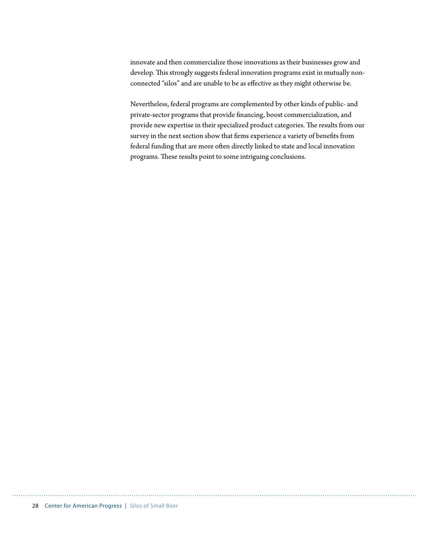innovate and then commercialize those innovations as their businesses grow and develop. This strongly suggests federal innovation programs exist in mutually nonconnected "silos" and are unable to be as effective as they might otherwise be.

Nevertheless, federal programs are complemented by other kinds of public- and private-sector programs that provide financing, boost commercialization, and provide new expertise in their specialized product categories. The results from our survey in the next section show that firms experience a variety of benefits from federal funding that are more often directly linked to state and local innovation programs. These results point to some intriguing conclusions.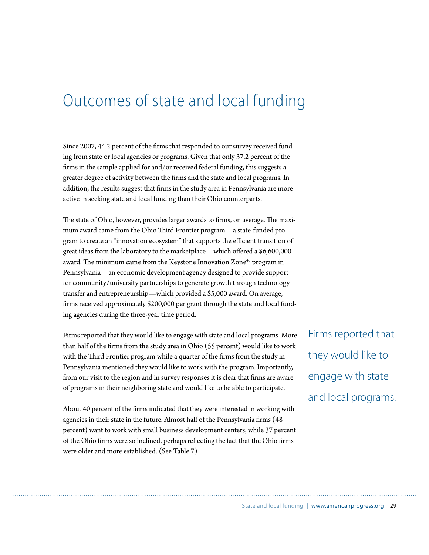### Outcomes of state and local funding

Since 2007, 44.2 percent of the firms that responded to our survey received funding from state or local agencies or programs. Given that only 37.2 percent of the firms in the sample applied for and/or received federal funding, this suggests a greater degree of activity between the firms and the state and local programs. In addition, the results suggest that firms in the study area in Pennsylvania are more active in seeking state and local funding than their Ohio counterparts.

The state of Ohio, however, provides larger awards to firms, on average. The maximum award came from the Ohio Third Frontier program-a state-funded program to create an "innovation ecosystem" that supports the efficient transition of great ideas from the laboratory to the marketplace—which offered a \$6,600,000 award. The minimum came from the Keystone Innovation Zone<sup>40</sup> program in Pennsylvania—an economic development agency designed to provide support for community/university partnerships to generate growth through technology transfer and entrepreneurship—which provided a \$5,000 award. On average, firms received approximately \$200,000 per grant through the state and local funding agencies during the three-year time period.

Firms reported that they would like to engage with state and local programs. More than half of the firms from the study area in Ohio (55 percent) would like to work with the Third Frontier program while a quarter of the firms from the study in Pennsylvania mentioned they would like to work with the program. Importantly, from our visit to the region and in survey responses it is clear that firms are aware of programs in their neighboring state and would like to be able to participate.

About 40 percent of the firms indicated that they were interested in working with agencies in their state in the future. Almost half of the Pennsylvania firms (48 percent) want to work with small business development centers, while 37 percent of the Ohio firms were so inclined, perhaps reflecting the fact that the Ohio firms were older and more established. (See Table 7)

Firms reported that they would like to engage with state and local programs.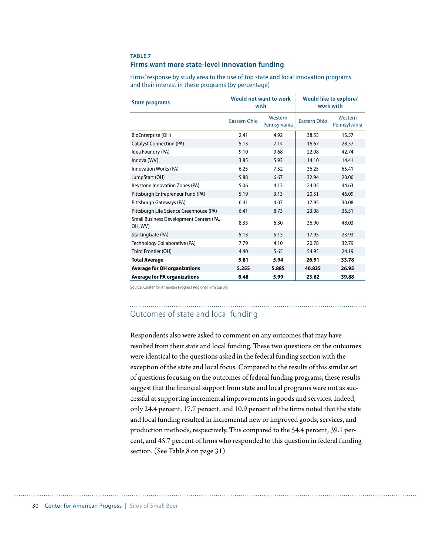#### **TABLE 7**

#### **Firms want more state-level innovation funding**

| <b>State programs</b>                              | Would not want to work<br>with |                         |                     | <b>Would like to explore/</b><br>work with |  |  |
|----------------------------------------------------|--------------------------------|-------------------------|---------------------|--------------------------------------------|--|--|
|                                                    | <b>Eastern Ohio</b>            | Western<br>Pennsylvania | <b>Eastern Ohio</b> | Western<br>Pennsylvania                    |  |  |
| BioEnterprise (OH)                                 | 2.41                           | 4.92                    | 38.55               | 15.57                                      |  |  |
| <b>Catalyst Connection (PA)</b>                    | 5.13                           | 7.14                    | 16.67               | 28.57                                      |  |  |
| Idea Foundry (PA)                                  | 9.10                           | 9.68                    | 22.08               | 42.74                                      |  |  |
| Innova (WV)                                        | 3.85                           | 5.93                    | 14.10               | 14.41                                      |  |  |
| <b>Innovation Works (PA)</b>                       | 6.25                           | 7.52                    | 36.25               | 65.41                                      |  |  |
| JumpStart (OH)                                     | 5.88                           | 6.67                    | 32.94               | 20.00                                      |  |  |
| Keystone Innovation Zones (PA)                     | 5.06                           | 4.13                    | 24.05               | 44.63                                      |  |  |
| Pittsburgh Entrepreneur Fund (PA)                  | 5.19                           | 3.13                    | 20.51               | 46.09                                      |  |  |
| Pittsburgh Gateways (PA)                           | 6.41                           | 4.07                    | 17.95               | 30.08                                      |  |  |
| Pittsburgh Life Science Greenhouse (PA)            | 6.41                           | 8.73                    | 23.08               | 36.51                                      |  |  |
| Small Business Development Centers (PA,<br>OH, WV) | 8.33                           | 6.30                    | 36.90               | 48.03                                      |  |  |
| StartingGate (PA)                                  | 5.13                           | 5.13                    | 17.95               | 23.93                                      |  |  |
| Technology Collaborative (PA)                      | 7.79                           | 4.10                    | 20.78               | 32.79                                      |  |  |
| Third Frontier (OH)                                | 4.40                           | 5.65                    | 54.95               | 24.19                                      |  |  |
| <b>Total Average</b>                               | 5.81                           | 5.94                    | 26.91               | 33.78                                      |  |  |
| <b>Average for OH organizations</b>                | 5.255                          | 5.885                   | 40.835              | 26.95                                      |  |  |
| <b>Average for PA organizations</b>                | 6.48                           | 5.99                    | 23.62               | 39.88                                      |  |  |

Firms' response by study area to the use of top state and local innovation programs and their interest in these programs (by percentage)

Source: Center for American Progress Regional Firm Survey

#### Outcomes of state and local funding

Respondents also were asked to comment on any outcomes that may have resulted from their state and local funding. These two questions on the outcomes were identical to the questions asked in the federal funding section with the exception of the state and local focus. Compared to the results of this similar set of questions focusing on the outcomes of federal funding programs, these results suggest that the financial support from state and local programs were not as successful at supporting incremental improvements in goods and services. Indeed, only 24.4 percent, 17.7 percent, and 10.9 percent of the firms noted that the state and local funding resulted in incremental new or improved goods, services, and production methods, respectively. This compared to the 54.4 percent, 39.1 percent, and 45.7 percent of firms who responded to this question in federal funding section. (See Table 8 on page 31)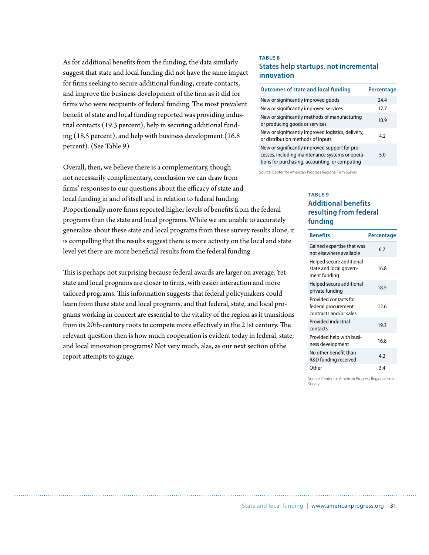As for additional benefits from the funding, the data similarly suggest that state and local funding did not have the same impact for firms seeking to secure additional funding, create contacts, and improve the business development of the firm as it did for firms who were recipients of federal funding. The most prevalent benefit of state and local funding reported was providing industrial contacts (19.3 percent), help in securing additional funding (18.5 percent), and help with business development (16.8 percent). (See Table 9)

Overall, then, we believe there is a complementary, though not necessarily complimentary, conclusion we can draw from firms' responses to our questions about the efficacy of state and local funding in and of itself and in relation to federal funding. Proportionally more firms reported higher levels of benefits from the federal programs than the state and local programs. While we are unable to accurately generalize about these state and local programs from these survey results alone, it is compelling that the results suggest there is more activity on the local and state level yet there are more beneficial results from the federal funding.

This is perhaps not surprising because federal awards are larger on average. Yet state and local programs are closer to firms, with easier interaction and more tailored programs. This information suggests that federal policymakers could learn from these state and local programs, and that federal, state, and local programs working in concert are essential to the vitality of the region as it transitions from its 20th-century roots to compete more effectively in the 21st century. The relevant question then is how much cooperation is evident today in federal, state, and local innovation programs? Not very much, alas, as our next section of the report attempts to gauge.

#### **TABLE 8 States help startups, not incremental innovation**

| <b>Outcomes of state and local funding</b>                                                                                                          | <b>Percentage</b> |
|-----------------------------------------------------------------------------------------------------------------------------------------------------|-------------------|
| New or significantly improved goods                                                                                                                 | 24.4              |
| New or significantly improved services                                                                                                              | 17.7              |
| New or significantly methods of manufacturing<br>or producing goods or services                                                                     | 10.9              |
| New or significantly improved logistics, delivery,<br>or distribution methods of inputs                                                             | 4.2               |
| New or significantly improved support for pro-<br>cesses, including maintenance systems or opera-<br>tions for purchasing, accounting, or computing | 5.0               |

Source: Center for American Progress Regional Firm Survey

#### **TABLE 9 Additional benefits resulting from federal funding**

| <b>Benefits</b>                                                        | Percentage |
|------------------------------------------------------------------------|------------|
| Gained expertise that was<br>not elsewhere available                   | 6.7        |
| Helped secure additional<br>state and local govern-<br>ment funding    | 16.8       |
| Helped secure additional<br>private funding                            | 18.5       |
| Provided contacts for<br>federal procurement<br>contracts and/or sales | 12.6       |
| Provided industrial<br>contacts                                        | 19.3       |
| Provided help with busi-<br>ness development                           | 16.8       |
| No other benefit than<br>R&D funding received                          | 4.2        |
| Other                                                                  | 3.4        |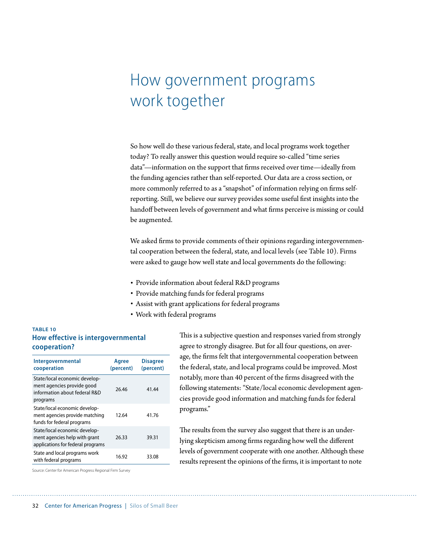### How government programs work together

So how well do these various federal, state, and local programs work together today? To really answer this question would require so-called "time series data"—information on the support that firms received over time—ideally from the funding agencies rather than self-reported. Our data are a cross section, or more commonly referred to as a "snapshot" of information relying on firms selfreporting. Still, we believe our survey provides some useful first insights into the handoff between levels of government and what firms perceive is missing or could be augmented.

We asked firms to provide comments of their opinions regarding intergovernmental cooperation between the federal, state, and local levels (see Table 10). Firms were asked to gauge how well state and local governments do the following:

- Provide information about federal R&D programs
- Provide matching funds for federal programs
- Assist with grant applications for federal programs
- Work with federal programs

#### **TABLE 10 How effective is intergovernmental cooperation?**

| Intergovernmental<br>cooperation                                                                         | Agree<br>(percent) | <b>Disagree</b><br>(percent) |
|----------------------------------------------------------------------------------------------------------|--------------------|------------------------------|
| State/local economic develop-<br>ment agencies provide good<br>information about federal R&D<br>programs | 26.46              | 41.44                        |
| State/local economic develop-<br>ment agencies provide matching<br>funds for federal programs            | 12.64              | 41.76                        |
| State/local economic develop-<br>ment agencies help with grant<br>applications for federal programs      | 26.33              | 39.31                        |
| State and local programs work<br>with federal programs                                                   | 16.92              | 33.08                        |

This is a subjective question and responses varied from strongly agree to strongly disagree. But for all four questions, on average, the firms felt that intergovernmental cooperation between the federal, state, and local programs could be improved. Most notably, more than 40 percent of the firms disagreed with the following statements: "State/local economic development agencies provide good information and matching funds for federal programs."

The results from the survey also suggest that there is an underlying skepticism among firms regarding how well the different levels of government cooperate with one another. Although these results represent the opinions of the firms, it is important to note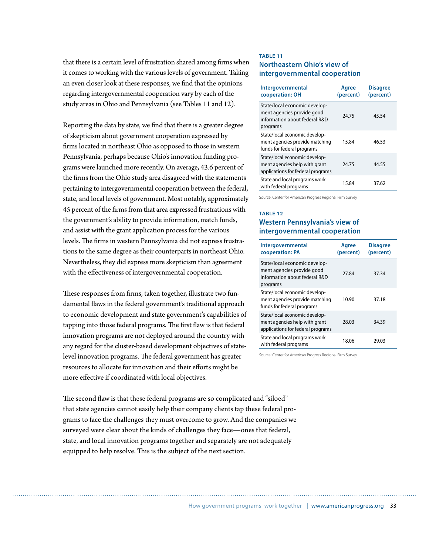that there is a certain level of frustration shared among firms when it comes to working with the various levels of government. Taking an even closer look at these responses, we find that the opinions regarding intergovernmental cooperation vary by each of the study areas in Ohio and Pennsylvania (see Tables 11 and 12).

Reporting the data by state, we find that there is a greater degree of skepticism about government cooperation expressed by firms located in northeast Ohio as opposed to those in western Pennsylvania, perhaps because Ohio's innovation funding programs were launched more recently. On average, 43.6 percent of the firms from the Ohio study area disagreed with the statements pertaining to intergovernmental cooperation between the federal, state, and local levels of government. Most notably, approximately 45 percent of the firms from that area expressed frustrations with the government's ability to provide information, match funds, and assist with the grant application process for the various levels. The firms in western Pennsylvania did not express frustrations to the same degree as their counterparts in northeast Ohio. Nevertheless, they did express more skepticism than agreement with the effectiveness of intergovernmental cooperation.

These responses from firms, taken together, illustrate two fundamental flaws in the federal government's traditional approach to economic development and state government's capabilities of tapping into those federal programs. The first flaw is that federal innovation programs are not deployed around the country with any regard for the cluster-based development objectives of statelevel innovation programs. The federal government has greater resources to allocate for innovation and their efforts might be more effective if coordinated with local objectives.

The second flaw is that these federal programs are so complicated and "siloed" that state agencies cannot easily help their company clients tap these federal programs to face the challenges they must overcome to grow. And the companies we surveyed were clear about the kinds of challenges they face—ones that federal, state, and local innovation programs together and separately are not adequately equipped to help resolve. This is the subject of the next section.

#### **TABLE 11**

#### **Northeastern Ohio's view of intergovernmental cooperation**

| Intergovernmental<br>cooperation: OH                                                                     | Agree<br>(percent) | <b>Disagree</b><br>(percent) |
|----------------------------------------------------------------------------------------------------------|--------------------|------------------------------|
| State/local economic develop-<br>ment agencies provide good<br>information about federal R&D<br>programs | 24.75              | 45.54                        |
| State/local economic develop-<br>ment agencies provide matching<br>funds for federal programs            | 15.84              | 46.53                        |
| State/local economic develop-<br>ment agencies help with grant<br>applications for federal programs      | 24.75              | 44.55                        |
| State and local programs work<br>with federal programs                                                   | 15.84              | 37.62                        |

Source: Center for American Progress Regional Firm Survey

#### **TABLE 12**

#### **Western Pennsylvania's view of intergovernmental cooperation**

| Intergovernmental<br>cooperation: PA                                                                     | Agree<br>(percent) | <b>Disagree</b><br>(percent) |
|----------------------------------------------------------------------------------------------------------|--------------------|------------------------------|
| State/local economic develop-<br>ment agencies provide good<br>information about federal R&D<br>programs | 27.84              | 37.34                        |
| State/local economic develop-<br>ment agencies provide matching<br>funds for federal programs            | 10.90              | 37.18                        |
| State/local economic develop-<br>ment agencies help with grant<br>applications for federal programs      | 28.03              | 34.39                        |
| State and local programs work<br>with federal programs                                                   | 18.06              | 29.03                        |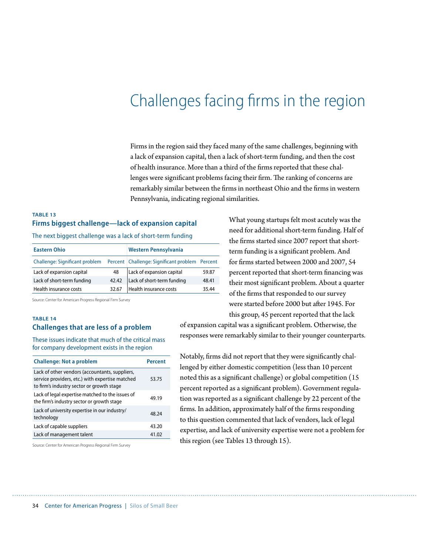### Challenges facing firms in the region

Firms in the region said they faced many of the same challenges, beginning with a lack of expansion capital, then a lack of short-term funding, and then the cost of health insurance. More than a third of the firms reported that these challenges were significant problems facing their firm. The ranking of concerns are remarkably similar between the firms in northeast Ohio and the firms in western Pennsylvania, indicating regional similarities.

#### **TABLE 13 Firms biggest challenge—lack of expansion capital**

The next biggest challenge was a lack of short-term funding

| <b>Eastern Ohio</b>            |       | Western Pennsylvania                           |       |
|--------------------------------|-------|------------------------------------------------|-------|
| Challenge: Significant problem |       | Percent Challenge: Significant problem Percent |       |
| Lack of expansion capital      | 48    | Lack of expansion capital                      | 59.87 |
| Lack of short-term funding     | 42.42 | Lack of short-term funding                     | 48.41 |
| Health insurance costs         | 32.67 | Health insurance costs                         | 35.44 |

Source: Center for American Progress Regional Firm Survey

#### **TABLE 14 Challenges that are less of a problem**

These issues indicate that much of the critical mass for company development exists in the region

| <b>Challenge: Not a problem</b>                                                                                                                | Percent |
|------------------------------------------------------------------------------------------------------------------------------------------------|---------|
| Lack of other vendors (accountants, suppliers,<br>service providers, etc.) with expertise matched<br>to firm's industry sector or growth stage | 53.75   |
| Lack of legal expertise matched to the issues of<br>the firm's industry sector or growth stage                                                 | 49.19   |
| Lack of university expertise in our industry/<br>technology                                                                                    | 48.24   |
| Lack of capable suppliers                                                                                                                      | 43.20   |
| Lack of management talent                                                                                                                      | 41.02   |

What young startups felt most acutely was the need for additional short-term funding. Half of the firms started since 2007 report that shortterm funding is a significant problem. And for firms started between 2000 and 2007, 54 percent reported that short-term financing was their most significant problem. About a quarter of the firms that responded to our survey were started before 2000 but after 1945. For this group, 45 percent reported that the lack

of expansion capital was a significant problem. Otherwise, the responses were remarkably similar to their younger counterparts.

Notably, firms did not report that they were significantly challenged by either domestic competition (less than 10 percent noted this as a significant challenge) or global competition (15 percent reported as a significant problem). Government regulation was reported as a significant challenge by 22 percent of the firms. In addition, approximately half of the firms responding to this question commented that lack of vendors, lack of legal expertise, and lack of university expertise were not a problem for this region (see Tables 13 through 15).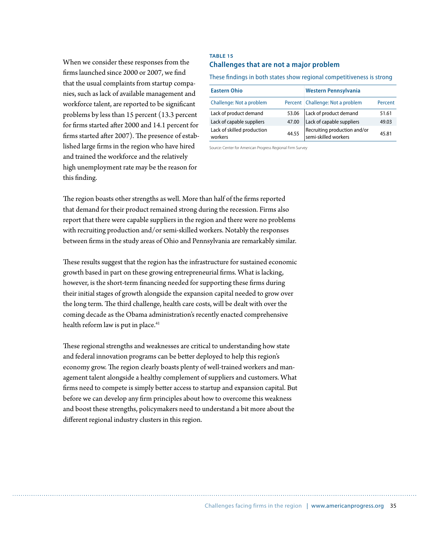When we consider these responses from the firms launched since 2000 or 2007, we find that the usual complaints from startup companies, such as lack of available management and workforce talent, are reported to be significant problems by less than 15 percent (13.3 percent for firms started after 2000 and 14.1 percent for firms started after 2007). The presence of established large firms in the region who have hired and trained the workforce and the relatively high unemployment rate may be the reason for this finding.

#### **TABLE 15 Challenges that are not a major problem**

These findings in both states show regional competitiveness is strong

| <b>Eastern Ohio</b>                   |       | Western Pennsylvania                                 |         |
|---------------------------------------|-------|------------------------------------------------------|---------|
| Challenge: Not a problem              |       | Percent Challenge: Not a problem                     | Percent |
| Lack of product demand                | 53.06 | Lack of product demand                               | 51.61   |
| Lack of capable suppliers             | 47.00 | Lack of capable suppliers                            | 49.03   |
| Lack of skilled production<br>workers | 44.55 | Recruiting production and/or<br>semi-skilled workers | 45.81   |

Source: Center for American Progress Regional Firm Survey

The region boasts other strengths as well. More than half of the firms reported that demand for their product remained strong during the recession. Firms also report that there were capable suppliers in the region and there were no problems with recruiting production and/or semi-skilled workers. Notably the responses between firms in the study areas of Ohio and Pennsylvania are remarkably similar.

These results suggest that the region has the infrastructure for sustained economic growth based in part on these growing entrepreneurial firms. What is lacking, however, is the short-term financing needed for supporting these firms during their initial stages of growth alongside the expansion capital needed to grow over the long term. The third challenge, health care costs, will be dealt with over the coming decade as the Obama administration's recently enacted comprehensive health reform law is put in place.<sup>41</sup>

These regional strengths and weaknesses are critical to understanding how state and federal innovation programs can be better deployed to help this region's economy grow. The region clearly boasts plenty of well-trained workers and management talent alongside a healthy complement of suppliers and customers. What firms need to compete is simply better access to startup and expansion capital. But before we can develop any firm principles about how to overcome this weakness and boost these strengths, policymakers need to understand a bit more about the different regional industry clusters in this region.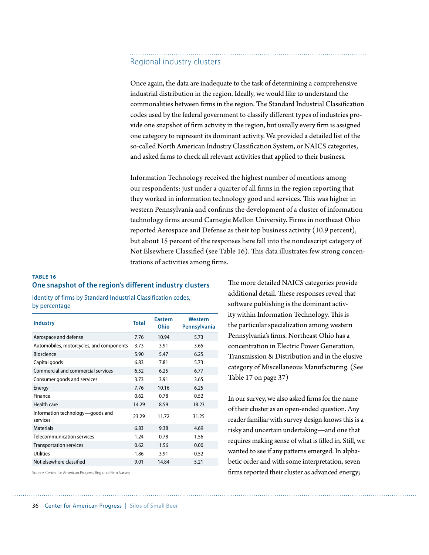#### Regional industry clusters

Once again, the data are inadequate to the task of determining a comprehensive industrial distribution in the region. Ideally, we would like to understand the commonalities between firms in the region. The Standard Industrial Classification codes used by the federal government to classify different types of industries provide one snapshot of firm activity in the region, but usually every firm is assigned one category to represent its dominant activity. We provided a detailed list of the so-called North American Industry Classification System, or NAICS categories, and asked firms to check all relevant activities that applied to their business.

Information Technology received the highest number of mentions among our respondents: just under a quarter of all firms in the region reporting that they worked in information technology good and services. This was higher in western Pennsylvania and confirms the development of a cluster of information technology firms around Carnegie Mellon University. Firms in northeast Ohio reported Aerospace and Defense as their top business activity (10.9 percent), but about 15 percent of the responses here fall into the nondescript category of Not Elsewhere Classified (see Table 16). This data illustrates few strong concentrations of activities among firms.

#### **TABLE 16 One snapshot of the region's different industry clusters**

Identity of firms by Standard Industrial Classification codes, by percentage

| <b>Industry</b>                              | <b>Total</b> | <b>Eastern</b><br>Ohio | Western<br>Pennsylvania |
|----------------------------------------------|--------------|------------------------|-------------------------|
| Aerospace and defense                        | 7.76         | 10.94                  | 5.73                    |
| Automobiles, motorcycles, and components     | 3.73         | 3.91                   | 3.65                    |
| <b>Bioscience</b>                            | 5.90         | 5.47                   | 6.25                    |
| Capital goods                                | 6.83         | 7.81                   | 5.73                    |
| Commercial and commercial services           | 6.52         | 6.25                   | 6.77                    |
| Consumer goods and services                  | 3.73         | 3.91                   | 3.65                    |
| Energy                                       | 7.76         | 10.16                  | 6.25                    |
| Finance                                      | 0.62         | 0.78                   | 0.52                    |
| Health care                                  | 14.29        | 8.59                   | 18.23                   |
| Information technology—goods and<br>services | 23.29        | 11.72                  | 31.25                   |
| <b>Materials</b>                             | 6.83         | 9.38                   | 4.69                    |
| <b>Telecommunication services</b>            | 1.24         | 0.78                   | 1.56                    |
| Transportation services                      | 0.62         | 1.56                   | 0.00                    |
| <b>Utilities</b>                             | 1.86         | 3.91                   | 0.52                    |
| Not elsewhere classified                     | 9.01         | 14.84                  | 5.21                    |

Source: Center for American Progress Regional Firm Survey

The more detailed NAICS categories provide additional detail. These responses reveal that software publishing is the dominant activity within Information Technology. This is the particular specialization among western Pennsylvania's firms. Northeast Ohio has a concentration in Electric Power Generation, Transmission & Distribution and in the elusive category of Miscellaneous Manufacturing. (See Table 17 on page 37)

In our survey, we also asked firms for the name of their cluster as an open-ended question. Any reader familiar with survey design knows this is a risky and uncertain undertaking—and one that requires making sense of what is filled in. Still, we wanted to see if any patterns emerged. In alphabetic order and with some interpretation, seven firms reported their cluster as advanced energy;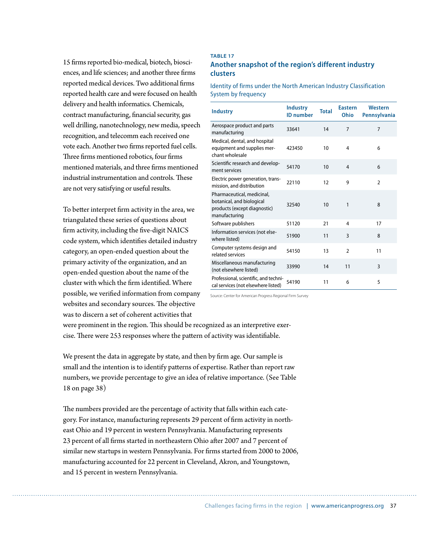15 firms reported bio-medical, biotech, biosciences, and life sciences; and another three firms reported medical devices. Two additional firms reported health care and were focused on health delivery and health informatics. Chemicals, contract manufacturing, financial security, gas well drilling, nanotechnology, new media, speech recognition, and telecomm each received one vote each. Another two firms reported fuel cells. Three firms mentioned robotics, four firms mentioned materials, and three firms mentioned industrial instrumentation and controls. These are not very satisfying or useful results.

To better interpret firm activity in the area, we triangulated these series of questions about firm activity, including the five-digit NAICS code system, which identifies detailed industry category, an open-ended question about the primary activity of the organization, and an open-ended question about the name of the cluster with which the firm identified. Where possible, we verified information from company websites and secondary sources. The objective was to discern a set of coherent activities that

#### **TABLE 17 Another snapshot of the region's different industry clusters**

Identity of firms under the North American Industry Classification System by frequency

| <b>Industry</b>                                                                                          | <b>Industry</b><br><b>ID</b> number | <b>Total</b> | <b>Eastern</b><br>Ohio | <b>Western</b><br><b>Pennsylvania</b> |
|----------------------------------------------------------------------------------------------------------|-------------------------------------|--------------|------------------------|---------------------------------------|
| Aerospace product and parts<br>manufacturing                                                             | 33641                               | 14           | 7                      | 7                                     |
| Medical, dental, and hospital<br>equipment and supplies mer-<br>chant wholesale                          | 423450                              | 10           | 4                      | 6                                     |
| Scientific research and develop-<br>ment services                                                        | 54170                               | 10           | $\overline{4}$         | 6                                     |
| Electric power generation, trans-<br>mission, and distribution                                           | 22110                               | 12           | 9                      | $\mathfrak{p}$                        |
| Pharmaceutical, medicinal,<br>botanical, and biological<br>products (except diagnostic)<br>manufacturing | 32540                               | 10           | 1                      | 8                                     |
| Software publishers                                                                                      | 51120                               | 21           | 4                      | 17                                    |
| Information services (not else-<br>where listed)                                                         | 51900                               | 11           | 3                      | 8                                     |
| Computer systems design and<br>related services                                                          | 54150                               | 13           | $\mathfrak{p}$         | 11                                    |
| Miscellaneous manufacturing<br>(not elsewhere listed)                                                    | 33990                               | 14           | 11                     | $\overline{3}$                        |
| Professional, scientific, and techni-<br>cal services (not elsewhere listed)                             | 54190                               | 11           | 6                      | 5                                     |

Source: Center for American Progress Regional Firm Survey

were prominent in the region. This should be recognized as an interpretive exercise. There were 253 responses where the pattern of activity was identifiable.

We present the data in aggregate by state, and then by firm age. Our sample is small and the intention is to identify patterns of expertise. Rather than report raw numbers, we provide percentage to give an idea of relative importance. (See Table 18 on page 38)

The numbers provided are the percentage of activity that falls within each category. For instance, manufacturing represents 29 percent of firm activity in northeast Ohio and 19 percent in western Pennsylvania. Manufacturing represents 23 percent of all firms started in northeastern Ohio after 2007 and 7 percent of similar new startups in western Pennsylvania. For firms started from 2000 to 2006, manufacturing accounted for 22 percent in Cleveland, Akron, and Youngstown, and 15 percent in western Pennsylvania.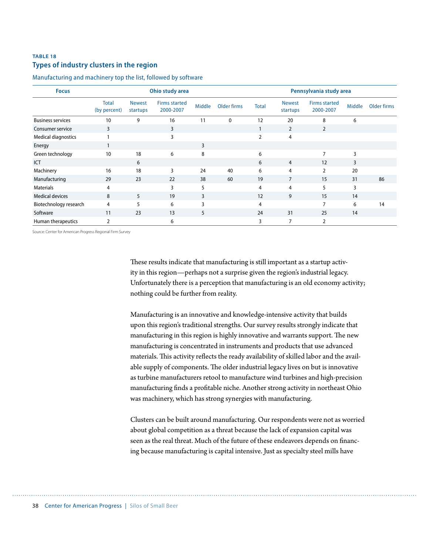#### **TABLE 18 Types of industry clusters in the region**

Manufacturing and machinery top the list, followed by software

| <b>Focus</b>               | Ohio study area              |                           |                                   |        | Pennsylvania study area |                |                           |                                   |        |             |
|----------------------------|------------------------------|---------------------------|-----------------------------------|--------|-------------------------|----------------|---------------------------|-----------------------------------|--------|-------------|
|                            | <b>Total</b><br>(by percent) | <b>Newest</b><br>startups | <b>Firms started</b><br>2000-2007 | Middle | Older firms             | <b>Total</b>   | <b>Newest</b><br>startups | <b>Firms started</b><br>2000-2007 | Middle | Older firms |
| <b>Business services</b>   | 10                           | 9                         | 16                                | 11     | $\mathbf{0}$            | 12             | 20                        | 8                                 | 6      |             |
| Consumer service           | 3                            |                           | 3                                 |        |                         |                | $\overline{2}$            | $\overline{2}$                    |        |             |
| <b>Medical diagnostics</b> |                              |                           | 3                                 |        |                         | $\overline{2}$ | 4                         |                                   |        |             |
| Energy                     |                              |                           |                                   | 3      |                         |                |                           |                                   |        |             |
| Green technology           | 10                           | 18                        | 6                                 | 8      |                         | 6              |                           | 7                                 | 3      |             |
| ICT                        |                              | 6                         |                                   |        |                         | 6              | $\overline{4}$            | 12                                | 3      |             |
| Machinery                  | 16                           | 18                        | 3                                 | 24     | 40                      | 6              | 4                         | 2                                 | 20     |             |
| Manufacturing              | 29                           | 23                        | 22                                | 38     | 60                      | 19             | $\overline{7}$            | 15                                | 31     | 86          |
| <b>Materials</b>           | 4                            |                           | 3                                 | 5      |                         | 4              | 4                         | 5                                 | 3      |             |
| <b>Medical devices</b>     | 8                            | 5                         | 19                                | 3      |                         | 12             | 9                         | 15                                | 14     |             |
| Biotechnology research     | 4                            | 5                         | 6                                 | 3      |                         | $\overline{4}$ |                           | 7                                 | 6      | 14          |
| Software                   | 11                           | 23                        | 13                                | 5      |                         | 24             | 31                        | 25                                | 14     |             |
| Human therapeutics         | $\overline{\mathbf{c}}$      |                           | 6                                 |        |                         | 3              | $\overline{7}$            | 2                                 |        |             |

Source: Center for American Progress Regional Firm Survey

These results indicate that manufacturing is still important as a startup activity in this region—perhaps not a surprise given the region's industrial legacy. Unfortunately there is a perception that manufacturing is an old economy activity; nothing could be further from reality.

Manufacturing is an innovative and knowledge-intensive activity that builds upon this region's traditional strengths. Our survey results strongly indicate that manufacturing in this region is highly innovative and warrants support. The new manufacturing is concentrated in instruments and products that use advanced materials. This activity reflects the ready availability of skilled labor and the available supply of components. The older industrial legacy lives on but is innovative as turbine manufacturers retool to manufacture wind turbines and high-precision manufacturing finds a profitable niche. Another strong activity in northeast Ohio was machinery, which has strong synergies with manufacturing.

Clusters can be built around manufacturing. Our respondents were not as worried about global competition as a threat because the lack of expansion capital was seen as the real threat. Much of the future of these endeavors depends on financing because manufacturing is capital intensive. Just as specialty steel mills have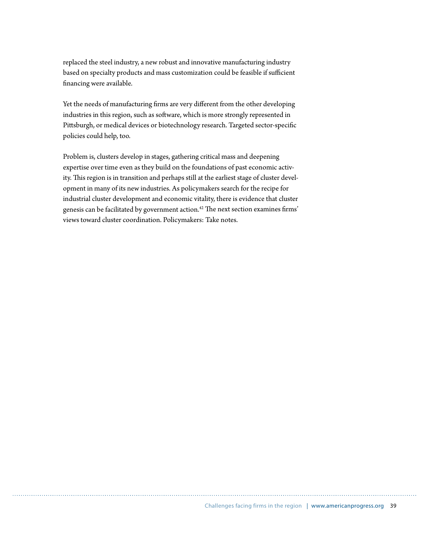replaced the steel industry, a new robust and innovative manufacturing industry based on specialty products and mass customization could be feasible if sufficient financing were available.

Yet the needs of manufacturing firms are very different from the other developing industries in this region, such as software, which is more strongly represented in Pittsburgh, or medical devices or biotechnology research. Targeted sector-specific policies could help, too.

Problem is, clusters develop in stages, gathering critical mass and deepening expertise over time even as they build on the foundations of past economic activity. This region is in transition and perhaps still at the earliest stage of cluster development in many of its new industries. As policymakers search for the recipe for industrial cluster development and economic vitality, there is evidence that cluster genesis can be facilitated by government action.<sup>42</sup> The next section examines firms' views toward cluster coordination. Policymakers: Take notes.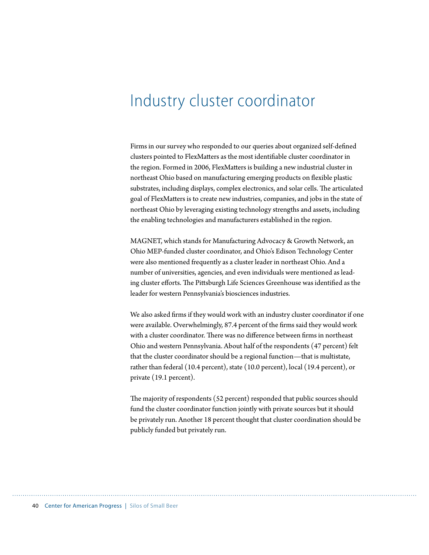### Industry cluster coordinator

Firms in our survey who responded to our queries about organized self-defined clusters pointed to FlexMatters as the most identifiable cluster coordinator in the region. Formed in 2006, FlexMatters is building a new industrial cluster in northeast Ohio based on manufacturing emerging products on flexible plastic substrates, including displays, complex electronics, and solar cells. The articulated goal of FlexMatters is to create new industries, companies, and jobs in the state of northeast Ohio by leveraging existing technology strengths and assets, including the enabling technologies and manufacturers established in the region.

MAGNET, which stands for Manufacturing Advocacy & Growth Network, an Ohio MEP-funded cluster coordinator, and Ohio's Edison Technology Center were also mentioned frequently as a cluster leader in northeast Ohio. And a number of universities, agencies, and even individuals were mentioned as leading cluster efforts. The Pittsburgh Life Sciences Greenhouse was identified as the leader for western Pennsylvania's biosciences industries.

We also asked firms if they would work with an industry cluster coordinator if one were available. Overwhelmingly, 87.4 percent of the firms said they would work with a cluster coordinator. There was no difference between firms in northeast Ohio and western Pennsylvania. About half of the respondents (47 percent) felt that the cluster coordinator should be a regional function—that is multistate, rather than federal (10.4 percent), state (10.0 percent), local (19.4 percent), or private (19.1 percent).

The majority of respondents (52 percent) responded that public sources should fund the cluster coordinator function jointly with private sources but it should be privately run. Another 18 percent thought that cluster coordination should be publicly funded but privately run.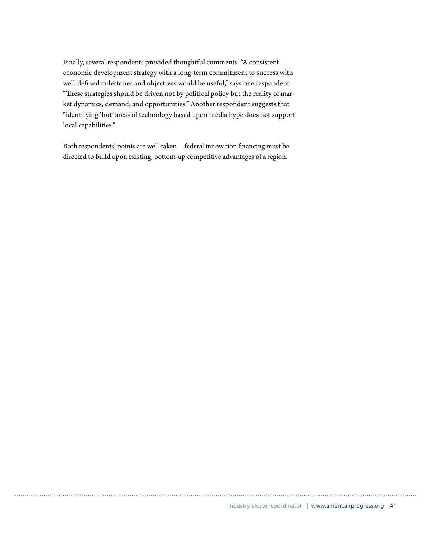Finally, several respondents provided thoughtful comments. "A consistent economic development strategy with a long-term commitment to success with well-defined milestones and objectives would be useful," says one respondent. "These strategies should be driven not by political policy but the reality of market dynamics, demand, and opportunities." Another respondent suggests that "identifying 'hot' areas of technology based upon media hype does not support local capabilities."

Both respondents' points are well-taken—federal innovation financing must be directed to build upon existing, bottom-up competitive advantages of a region.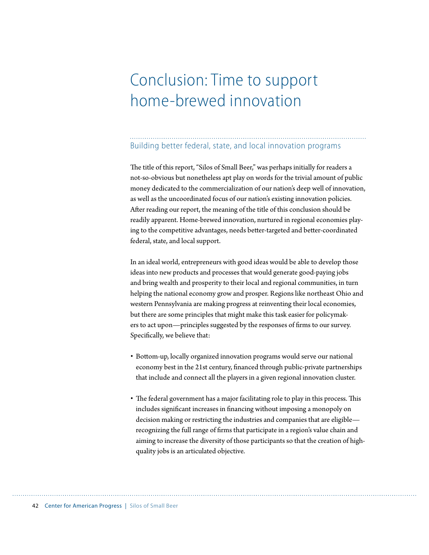### Conclusion: Time to support home-brewed innovation

#### Building better federal, state, and local innovation programs

The title of this report, "Silos of Small Beer," was perhaps initially for readers a not-so-obvious but nonetheless apt play on words for the trivial amount of public money dedicated to the commercialization of our nation's deep well of innovation, as well as the uncoordinated focus of our nation's existing innovation policies. After reading our report, the meaning of the title of this conclusion should be readily apparent. Home-brewed innovation, nurtured in regional economies playing to the competitive advantages, needs better-targeted and better-coordinated federal, state, and local support.

In an ideal world, entrepreneurs with good ideas would be able to develop those ideas into new products and processes that would generate good-paying jobs and bring wealth and prosperity to their local and regional communities, in turn helping the national economy grow and prosper. Regions like northeast Ohio and western Pennsylvania are making progress at reinventing their local economies, but there are some principles that might make this task easier for policymakers to act upon—principles suggested by the responses of firms to our survey. Specifically, we believe that:

- Bottom-up, locally organized innovation programs would serve our national economy best in the 21st century, financed through public-private partnerships that include and connect all the players in a given regional innovation cluster.
- The federal government has a major facilitating role to play in this process. This includes significant increases in financing without imposing a monopoly on decision making or restricting the industries and companies that are eligible recognizing the full range of firms that participate in a region's value chain and aiming to increase the diversity of those participants so that the creation of highquality jobs is an articulated objective.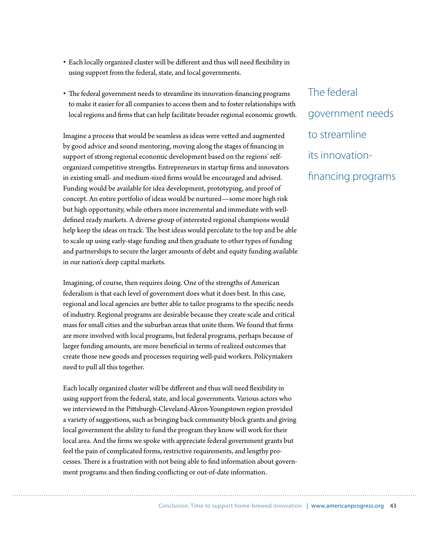- Each locally organized cluster will be different and thus will need flexibility in using support from the federal, state, and local governments.
- The federal government needs to streamline its innovation-financing programs to make it easier for all companies to access them and to foster relationships with local regions and firms that can help facilitate broader regional economic growth.

Imagine a process that would be seamless as ideas were vetted and augmented by good advice and sound mentoring, moving along the stages of financing in support of strong regional economic development based on the regions' selforganized competitive strengths. Entrepreneurs in startup firms and innovators in existing small- and medium-sized firms would be encouraged and advised. Funding would be available for idea development, prototyping, and proof of concept. An entire portfolio of ideas would be nurtured—some more high risk but high opportunity, while others more incremental and immediate with welldefined ready markets. A diverse group of interested regional champions would help keep the ideas on track. The best ideas would percolate to the top and be able to scale up using early-stage funding and then graduate to other types of funding and partnerships to secure the larger amounts of debt and equity funding available in our nation's deep capital markets.

Imagining, of course, then requires doing. One of the strengths of American federalism is that each level of government does what it does best. In this case, regional and local agencies are better able to tailor programs to the specific needs of industry. Regional programs are desirable because they create scale and critical mass for small cities and the suburban areas that unite them. We found that firms are more involved with local programs, but federal programs, perhaps because of larger funding amounts, are more beneficial in terms of realized outcomes that create those new goods and processes requiring well-paid workers. Policymakers need to pull all this together.

Each locally organized cluster will be different and thus will need flexibility in using support from the federal, state, and local governments. Various actors who we interviewed in the Pittsburgh-Cleveland-Akron-Youngstown region provided a variety of suggestions, such as bringing back community block grants and giving local government the ability to fund the program they know will work for their local area. And the firms we spoke with appreciate federal government grants but feel the pain of complicated forms, restrictive requirements, and lengthy processes. There is a frustration with not being able to find information about government programs and then finding conflicting or out-of-date information.

The federal government needs to streamline its innovationfinancing programs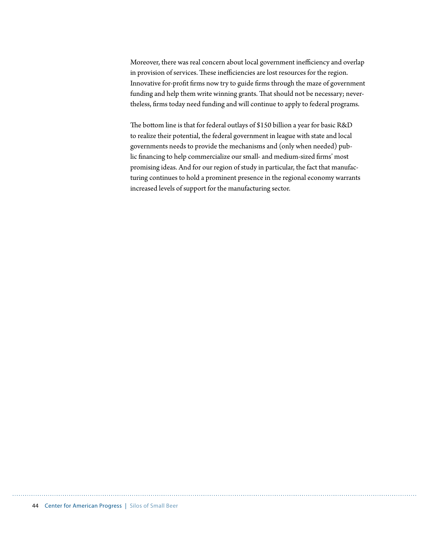Moreover, there was real concern about local government inefficiency and overlap in provision of services. These inefficiencies are lost resources for the region. Innovative for-profit firms now try to guide firms through the maze of government funding and help them write winning grants. That should not be necessary; nevertheless, firms today need funding and will continue to apply to federal programs.

The bottom line is that for federal outlays of \$150 billion a year for basic R&D to realize their potential, the federal government in league with state and local governments needs to provide the mechanisms and (only when needed) public financing to help commercialize our small- and medium-sized firms' most promising ideas. And for our region of study in particular, the fact that manufacturing continues to hold a prominent presence in the regional economy warrants increased levels of support for the manufacturing sector.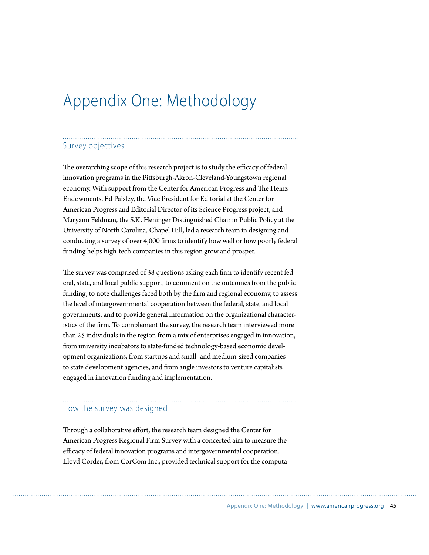### Appendix One: Methodology

#### Survey objectives

The overarching scope of this research project is to study the efficacy of federal innovation programs in the Pittsburgh-Akron-Cleveland-Youngstown regional economy. With support from the Center for American Progress and The Heinz Endowments, Ed Paisley, the Vice President for Editorial at the Center for American Progress and Editorial Director of its Science Progress project, and Maryann Feldman, the S.K. Heninger Distinguished Chair in Public Policy at the University of North Carolina, Chapel Hill, led a research team in designing and conducting a survey of over 4,000 firms to identify how well or how poorly federal funding helps high-tech companies in this region grow and prosper.

The survey was comprised of 38 questions asking each firm to identify recent federal, state, and local public support, to comment on the outcomes from the public funding, to note challenges faced both by the firm and regional economy, to assess the level of intergovernmental cooperation between the federal, state, and local governments, and to provide general information on the organizational characteristics of the firm. To complement the survey, the research team interviewed more than 25 individuals in the region from a mix of enterprises engaged in innovation, from university incubators to state-funded technology-based economic development organizations, from startups and small- and medium-sized companies to state development agencies, and from angle investors to venture capitalists engaged in innovation funding and implementation.

#### How the survey was designed

Through a collaborative effort, the research team designed the Center for American Progress Regional Firm Survey with a concerted aim to measure the efficacy of federal innovation programs and intergovernmental cooperation. Lloyd Corder, from CorCom Inc., provided technical support for the computa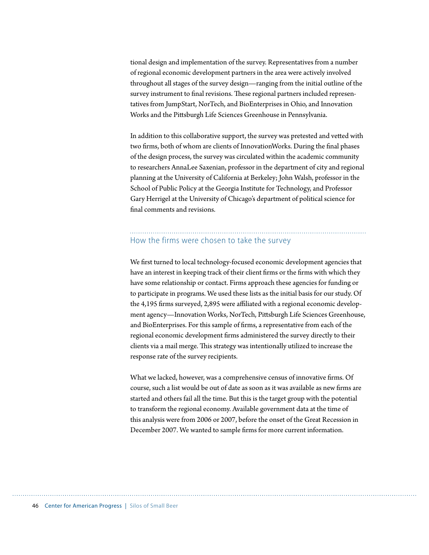tional design and implementation of the survey. Representatives from a number of regional economic development partners in the area were actively involved throughout all stages of the survey design—ranging from the initial outline of the survey instrument to final revisions. These regional partners included representatives from JumpStart, NorTech, and BioEnterprises in Ohio, and Innovation Works and the Pittsburgh Life Sciences Greenhouse in Pennsylvania.

In addition to this collaborative support, the survey was pretested and vetted with two firms, both of whom are clients of InnovationWorks. During the final phases of the design process, the survey was circulated within the academic community to researchers AnnaLee Saxenian, professor in the department of city and regional planning at the University of California at Berkeley; John Walsh, professor in the School of Public Policy at the Georgia Institute for Technology, and Professor Gary Herrigel at the University of Chicago's department of political science for final comments and revisions.

### How the firms were chosen to take the survey

We first turned to local technology-focused economic development agencies that have an interest in keeping track of their client firms or the firms with which they have some relationship or contact. Firms approach these agencies for funding or to participate in programs. We used these lists as the initial basis for our study. Of the 4,195 firms surveyed, 2,895 were affiliated with a regional economic development agency—Innovation Works, NorTech, Pittsburgh Life Sciences Greenhouse, and BioEnterprises. For this sample of firms, a representative from each of the regional economic development firms administered the survey directly to their clients via a mail merge. This strategy was intentionally utilized to increase the response rate of the survey recipients.

What we lacked, however, was a comprehensive census of innovative firms. Of course, such a list would be out of date as soon as it was available as new firms are started and others fail all the time. But this is the target group with the potential to transform the regional economy. Available government data at the time of this analysis were from 2006 or 2007, before the onset of the Great Recession in December 2007. We wanted to sample firms for more current information.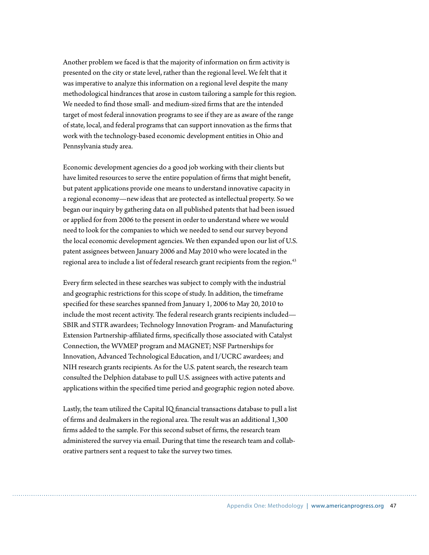Another problem we faced is that the majority of information on firm activity is presented on the city or state level, rather than the regional level. We felt that it was imperative to analyze this information on a regional level despite the many methodological hindrances that arose in custom tailoring a sample for this region. We needed to find those small- and medium-sized firms that are the intended target of most federal innovation programs to see if they are as aware of the range of state, local, and federal programs that can support innovation as the firms that work with the technology-based economic development entities in Ohio and Pennsylvania study area.

Economic development agencies do a good job working with their clients but have limited resources to serve the entire population of firms that might benefit, but patent applications provide one means to understand innovative capacity in a regional economy—new ideas that are protected as intellectual property. So we began our inquiry by gathering data on all published patents that had been issued or applied for from 2006 to the present in order to understand where we would need to look for the companies to which we needed to send our survey beyond the local economic development agencies. We then expanded upon our list of U.S. patent assignees between January 2006 and May 2010 who were located in the regional area to include a list of federal research grant recipients from the region.<sup>43</sup>

Every firm selected in these searches was subject to comply with the industrial and geographic restrictions for this scope of study. In addition, the timeframe specified for these searches spanned from January 1, 2006 to May 20, 2010 to include the most recent activity. The federal research grants recipients included— SBIR and STTR awardees; Technology Innovation Program- and Manufacturing Extension Partnership-affiliated firms, specifically those associated with Catalyst Connection, the WVMEP program and MAGNET; NSF Partnerships for Innovation, Advanced Technological Education, and I/UCRC awardees; and NIH research grants recipients. As for the U.S. patent search, the research team consulted the Delphion database to pull U.S. assignees with active patents and applications within the specified time period and geographic region noted above.

Lastly, the team utilized the Capital IQ financial transactions database to pull a list of firms and dealmakers in the regional area. The result was an additional 1,300 firms added to the sample. For this second subset of firms, the research team administered the survey via email. During that time the research team and collaborative partners sent a request to take the survey two times.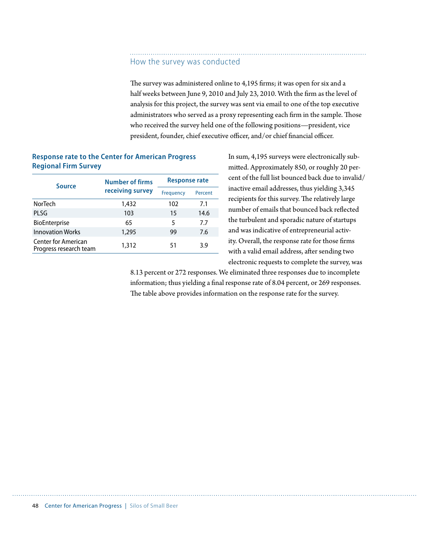#### How the survey was conducted

The survey was administered online to 4,195 firms; it was open for six and a half weeks between June 9, 2010 and July 23, 2010. With the firm as the level of analysis for this project, the survey was sent via email to one of the top executive administrators who served as a proxy representing each firm in the sample. Those who received the survey held one of the following positions—president, vice president, founder, chief executive officer, and/or chief financial officer.

#### **Response rate to the Center for American Progress Regional Firm Survey**

| <b>Source</b>                                        | <b>Number of firms</b> | <b>Response rate</b> |         |  |
|------------------------------------------------------|------------------------|----------------------|---------|--|
|                                                      | receiving survey       | Frequency            | Percent |  |
| <b>NorTech</b>                                       | 1,432                  | 102                  | 7.1     |  |
| PLSG                                                 | 103                    | 15                   | 14.6    |  |
| BioEnterprise                                        | 65                     | 5                    | 7.7     |  |
| <b>Innovation Works</b>                              | 1,295                  | 99                   | 7.6     |  |
| <b>Center for American</b><br>Progress research team | 1,312                  | 51                   | 3.9     |  |

In sum, 4,195 surveys were electronically submitted. Approximately 850, or roughly 20 percent of the full list bounced back due to invalid/ inactive email addresses, thus yielding 3,345 recipients for this survey. The relatively large number of emails that bounced back reflected the turbulent and sporadic nature of startups and was indicative of entrepreneurial activity. Overall, the response rate for those firms with a valid email address, after sending two electronic requests to complete the survey, was

8.13 percent or 272 responses. We eliminated three responses due to incomplete information; thus yielding a final response rate of 8.04 percent, or 269 responses. The table above provides information on the response rate for the survey.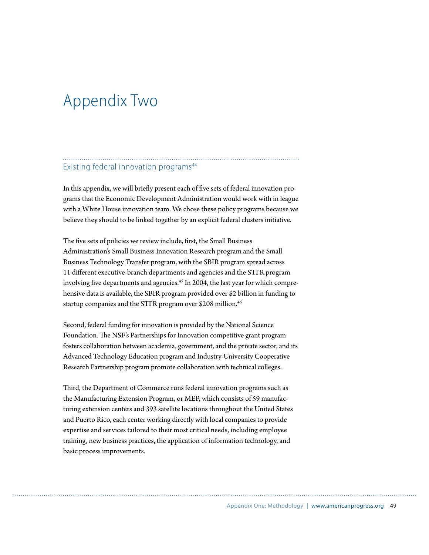### Appendix Two

#### Existing federal innovation programs<sup>44</sup>

In this appendix, we will briefly present each of five sets of federal innovation programs that the Economic Development Administration would work with in league with a White House innovation team. We chose these policy programs because we believe they should to be linked together by an explicit federal clusters initiative.

The five sets of policies we review include, first, the Small Business Administration's Small Business Innovation Research program and the Small Business Technology Transfer program, with the SBIR program spread across 11 different executive-branch departments and agencies and the STTR program involving five departments and agencies.<sup>45</sup> In 2004, the last year for which comprehensive data is available, the SBIR program provided over \$2 billion in funding to startup companies and the STTR program over \$208 million.<sup>46</sup>

Second, federal funding for innovation is provided by the National Science Foundation. The NSF's Partnerships for Innovation competitive grant program fosters collaboration between academia, government, and the private sector, and its Advanced Technology Education program and Industry-University Cooperative Research Partnership program promote collaboration with technical colleges.

Third, the Department of Commerce runs federal innovation programs such as the Manufacturing Extension Program, or MEP, which consists of 59 manufacturing extension centers and 393 satellite locations throughout the United States and Puerto Rico, each center working directly with local companies to provide expertise and services tailored to their most critical needs, including employee training, new business practices, the application of information technology, and basic process improvements.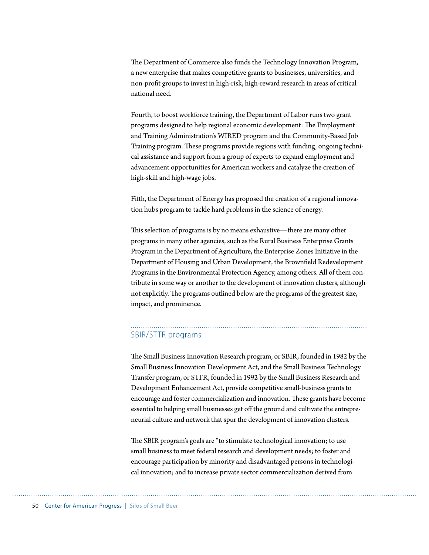The Department of Commerce also funds the Technology Innovation Program, a new enterprise that makes competitive grants to businesses, universities, and non-profit groups to invest in high-risk, high-reward research in areas of critical national need.

Fourth, to boost workforce training, the Department of Labor runs two grant programs designed to help regional economic development: The Employment and Training Administration's WIRED program and the Community-Based Job Training program. These programs provide regions with funding, ongoing technical assistance and support from a group of experts to expand employment and advancement opportunities for American workers and catalyze the creation of high-skill and high-wage jobs.

Fifth, the Department of Energy has proposed the creation of a regional innovation hubs program to tackle hard problems in the science of energy.

This selection of programs is by no means exhaustive—there are many other programs in many other agencies, such as the Rural Business Enterprise Grants Program in the Department of Agriculture, the Enterprise Zones Initiative in the Department of Housing and Urban Development, the Brownfield Redevelopment Programs in the Environmental Protection Agency, among others. All of them contribute in some way or another to the development of innovation clusters, although not explicitly. The programs outlined below are the programs of the greatest size, impact, and prominence.

#### SBIR/STTR programs

The Small Business Innovation Research program, or SBIR, founded in 1982 by the Small Business Innovation Development Act, and the Small Business Technology Transfer program, or STTR, founded in 1992 by the Small Business Research and Development Enhancement Act, provide competitive small-business grants to encourage and foster commercialization and innovation. These grants have become essential to helping small businesses get off the ground and cultivate the entrepreneurial culture and network that spur the development of innovation clusters.

The SBIR program's goals are "to stimulate technological innovation; to use small business to meet federal research and development needs; to foster and encourage participation by minority and disadvantaged persons in technological innovation; and to increase private sector commercialization derived from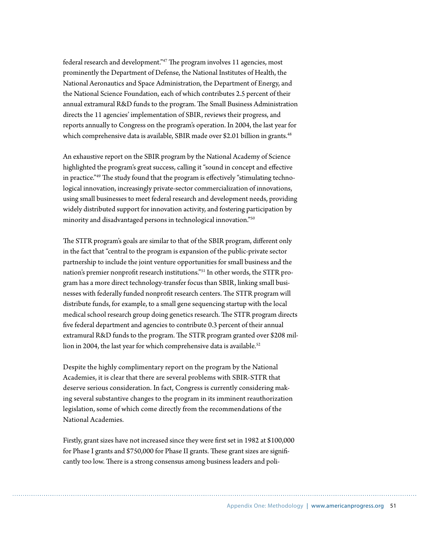federal research and development."<sup>47</sup> The program involves 11 agencies, most prominently the Department of Defense, the National Institutes of Health, the National Aeronautics and Space Administration, the Department of Energy, and the National Science Foundation, each of which contributes 2.5 percent of their annual extramural R&D funds to the program. The Small Business Administration directs the 11 agencies' implementation of SBIR, reviews their progress, and reports annually to Congress on the program's operation. In 2004, the last year for which comprehensive data is available, SBIR made over \$2.01 billion in grants.<sup>48</sup>

An exhaustive report on the SBIR program by the National Academy of Science highlighted the program's great success, calling it "sound in concept and effective in practice."<sup>49</sup> The study found that the program is effectively "stimulating technological innovation, increasingly private-sector commercialization of innovations, using small businesses to meet federal research and development needs, providing widely distributed support for innovation activity, and fostering participation by minority and disadvantaged persons in technological innovation."50

The STTR program's goals are similar to that of the SBIR program, different only in the fact that "central to the program is expansion of the public-private sector partnership to include the joint venture opportunities for small business and the nation's premier nonprofit research institutions."<sup>51</sup> In other words, the STTR program has a more direct technology-transfer focus than SBIR, linking small businesses with federally funded nonprofit research centers. The STTR program will distribute funds, for example, to a small gene sequencing startup with the local medical school research group doing genetics research. The STTR program directs five federal department and agencies to contribute 0.3 percent of their annual extramural R&D funds to the program. The STTR program granted over \$208 million in 2004, the last year for which comprehensive data is available.<sup>52</sup>

Despite the highly complimentary report on the program by the National Academies, it is clear that there are several problems with SBIR-STTR that deserve serious consideration. In fact, Congress is currently considering making several substantive changes to the program in its imminent reauthorization legislation, some of which come directly from the recommendations of the National Academies.

Firstly, grant sizes have not increased since they were first set in 1982 at \$100,000 for Phase I grants and \$750,000 for Phase II grants. These grant sizes are significantly too low. There is a strong consensus among business leaders and poli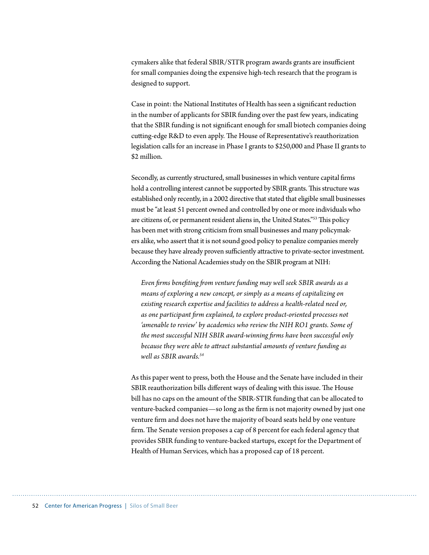cymakers alike that federal  $SBIR/STTR$  program awards grants are insufficient for small companies doing the expensive high-tech research that the program is designed to support.

Case in point: the National Institutes of Health has seen a significant reduction in the number of applicants for SBIR funding over the past few years, indicating that the SBIR funding is not significant enough for small biotech companies doing cutting-edge R&D to even apply. The House of Representative's reauthorization legislation calls for an increase in Phase I grants to \$250,000 and Phase II grants to \$2 million.

Secondly, as currently structured, small businesses in which venture capital firms hold a controlling interest cannot be supported by SBIR grants. This structure was established only recently, in a 2002 directive that stated that eligible small businesses must be "at least 51 percent owned and controlled by one or more individuals who are citizens of, or permanent resident aliens in, the United States."<sup>53</sup> This policy has been met with strong criticism from small businesses and many policymakers alike, who assert that it is not sound good policy to penalize companies merely because they have already proven sufficiently attractive to private-sector investment. According the National Academies study on the SBIR program at NIH:

*Even !rms bene!ting "om venture funding may well seek SBIR awards as a means of exploring a new concept, or simply as a means of capitalizing on existing research expertise and facilities to address a health-related need or, as one participant !rm explained, to explore product-oriented processes not*  'amenable to review' by academics who review the NIH RO1 grants. Some of the most successful NIH SBIR award-winning firms have been successful only because they were able to attract substantial amounts of venture funding as *well as SBIR awards.54*

As this paper went to press, both the House and the Senate have included in their SBIR reauthorization bills different ways of dealing with this issue. The House bill has no caps on the amount of the SBIR-STIR funding that can be allocated to venture-backed companies—so long as the firm is not majority owned by just one venture firm and does not have the majority of board seats held by one venture firm. The Senate version proposes a cap of 8 percent for each federal agency that provides SBIR funding to venture-backed startups, except for the Department of Health of Human Services, which has a proposed cap of 18 percent.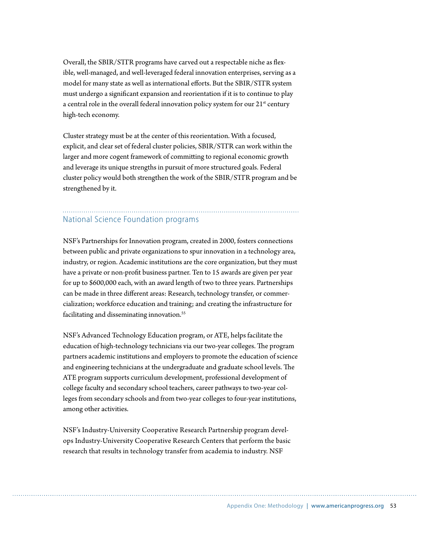Overall, the SBIR/STTR programs have carved out a respectable niche as flexible, well-managed, and well-leveraged federal innovation enterprises, serving as a model for many state as well as international efforts. But the SBIR/STTR system must undergo a significant expansion and reorientation if it is to continue to play a central role in the overall federal innovation policy system for our  $21^{st}$  century high-tech economy.

Cluster strategy must be at the center of this reorientation. With a focused, explicit, and clear set of federal cluster policies, SBIR/STTR can work within the larger and more cogent framework of committing to regional economic growth and leverage its unique strengths in pursuit of more structured goals. Federal cluster policy would both strengthen the work of the SBIR/STTR program and be strengthened by it.

#### National Science Foundation programs

NSF's Partnerships for Innovation program, created in 2000, fosters connections between public and private organizations to spur innovation in a technology area, industry, or region. Academic institutions are the core organization, but they must have a private or non-profit business partner. Ten to 15 awards are given per year for up to \$600,000 each, with an award length of two to three years. Partnerships can be made in three different areas: Research, technology transfer, or commercialization; workforce education and training; and creating the infrastructure for facilitating and disseminating innovation.<sup>55</sup>

NSF's Advanced Technology Education program, or ATE, helps facilitate the education of high-technology technicians via our two-year colleges. The program partners academic institutions and employers to promote the education of science and engineering technicians at the undergraduate and graduate school levels. The ATE program supports curriculum development, professional development of college faculty and secondary school teachers, career pathways to two-year colleges from secondary schools and from two-year colleges to four-year institutions, among other activities.

NSF's Industry-University Cooperative Research Partnership program develops Industry-University Cooperative Research Centers that perform the basic research that results in technology transfer from academia to industry. NSF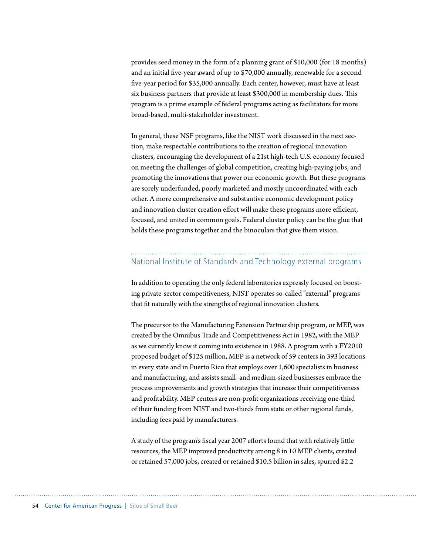provides seed money in the form of a planning grant of \$10,000 (for 18 months) and an initial five-year award of up to \$70,000 annually, renewable for a second five-year period for \$35,000 annually. Each center, however, must have at least six business partners that provide at least \$300,000 in membership dues. This program is a prime example of federal programs acting as facilitators for more broad-based, multi-stakeholder investment.

In general, these NSF programs, like the NIST work discussed in the next section, make respectable contributions to the creation of regional innovation clusters, encouraging the development of a 21st high-tech U.S. economy focused on meeting the challenges of global competition, creating high-paying jobs, and promoting the innovations that power our economic growth. But these programs are sorely underfunded, poorly marketed and mostly uncoordinated with each other. A more comprehensive and substantive economic development policy and innovation cluster creation effort will make these programs more efficient, focused, and united in common goals. Federal cluster policy can be the glue that holds these programs together and the binoculars that give them vision.

#### National Institute of Standards and Technology external programs

In addition to operating the only federal laboratories expressly focused on boosting private-sector competitiveness, NIST operates so-called "external" programs that fit naturally with the strengths of regional innovation clusters.

The precursor to the Manufacturing Extension Partnership program, or MEP, was created by the Omnibus Trade and Competitiveness Act in 1982, with the MEP as we currently know it coming into existence in 1988. A program with a FY2010 proposed budget of \$125 million, MEP is a network of 59 centers in 393 locations in every state and in Puerto Rico that employs over 1,600 specialists in business and manufacturing, and assists small- and medium-sized businesses embrace the process improvements and growth strategies that increase their competitiveness and profitability. MEP centers are non-profit organizations receiving one-third of their funding from NIST and two-thirds from state or other regional funds, including fees paid by manufacturers.

A study of the program's fiscal year 2007 efforts found that with relatively little resources, the MEP improved productivity among 8 in 10 MEP clients, created or retained 57,000 jobs, created or retained \$10.5 billion in sales, spurred \$2.2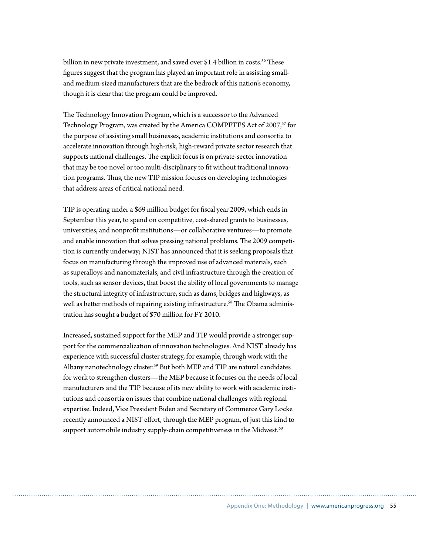billion in new private investment, and saved over \$1.4 billion in costs.<sup>56</sup> These figures suggest that the program has played an important role in assisting smalland medium-sized manufacturers that are the bedrock of this nation's economy, though it is clear that the program could be improved.

The Technology Innovation Program, which is a successor to the Advanced Technology Program, was created by the America COMPETES Act of 2007,<sup>57</sup> for the purpose of assisting small businesses, academic institutions and consortia to accelerate innovation through high-risk, high-reward private sector research that supports national challenges. The explicit focus is on private-sector innovation that may be too novel or too multi-disciplinary to fit without traditional innovation programs. Thus, the new TIP mission focuses on developing technologies that address areas of critical national need.

TIP is operating under a \$69 million budget for fiscal year 2009, which ends in September this year, to spend on competitive, cost-shared grants to businesses, universities, and nonprofit institutions—or collaborative ventures—to promote and enable innovation that solves pressing national problems. The 2009 competition is currently underway; NIST has announced that it is seeking proposals that focus on manufacturing through the improved use of advanced materials, such as superalloys and nanomaterials, and civil infrastructure through the creation of tools, such as sensor devices, that boost the ability of local governments to manage the structural integrity of infrastructure, such as dams, bridges and highways, as well as better methods of repairing existing infrastructure.<sup>58</sup> The Obama administration has sought a budget of \$70 million for FY 2010.

Increased, sustained support for the MEP and TIP would provide a stronger support for the commercialization of innovation technologies. And NIST already has experience with successful cluster strategy, for example, through work with the Albany nanotechnology cluster.<sup>59</sup> But both MEP and TIP are natural candidates for work to strengthen clusters—the MEP because it focuses on the needs of local manufacturers and the TIP because of its new ability to work with academic institutions and consortia on issues that combine national challenges with regional expertise. Indeed, Vice President Biden and Secretary of Commerce Gary Locke recently announced a NIST effort, through the MEP program, of just this kind to support automobile industry supply-chain competitiveness in the Midwest. $60$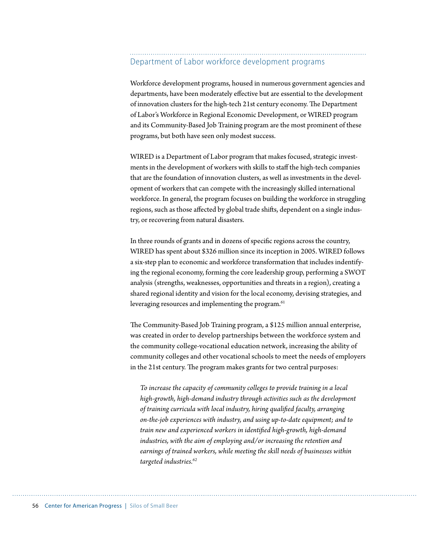#### Department of Labor workforce development programs

Workforce development programs, housed in numerous government agencies and departments, have been moderately effective but are essential to the development of innovation clusters for the high-tech 21st century economy. The Department of Labor's Workforce in Regional Economic Development, or WIRED program and its Community-Based Job Training program are the most prominent of these programs, but both have seen only modest success.

WIRED is a Department of Labor program that makes focused, strategic investments in the development of workers with skills to staff the high-tech companies that are the foundation of innovation clusters, as well as investments in the development of workers that can compete with the increasingly skilled international workforce. In general, the program focuses on building the workforce in struggling regions, such as those affected by global trade shifts, dependent on a single industry, or recovering from natural disasters.

In three rounds of grants and in dozens of specific regions across the country, WIRED has spent about \$326 million since its inception in 2005. WIRED follows a six-step plan to economic and workforce transformation that includes indentifying the regional economy, forming the core leadership group, performing a SWOT analysis (strengths, weaknesses, opportunities and threats in a region), creating a shared regional identity and vision for the local economy, devising strategies, and leveraging resources and implementing the program.<sup>61</sup>

The Community-Based Job Training program, a \$125 million annual enterprise, was created in order to develop partnerships between the workforce system and the community college-vocational education network, increasing the ability of community colleges and other vocational schools to meet the needs of employers in the 21st century. The program makes grants for two central purposes:

*To increase the capacity of community colleges to provide training in a local high-growth, high-demand industry through activities such as the development*  of training curricula with local industry, hiring qualified faculty, arranging *on-the-job experiences with industry, and using up-to-date equipment; and to train new and experienced workers in identified high-growth, high-demand industries, with the aim of employing and/or increasing the retention and earnings of trained workers, while meeting the skill needs of businesses within targeted industries.62*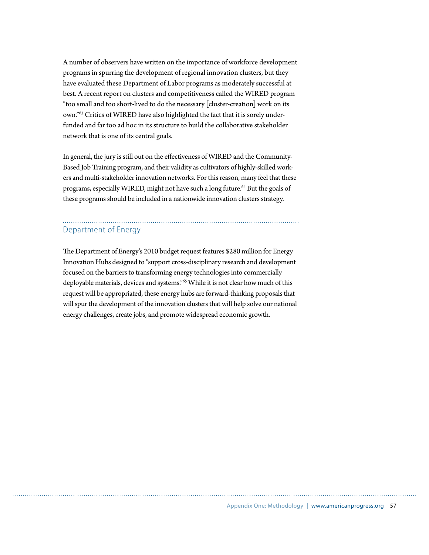A number of observers have written on the importance of workforce development programs in spurring the development of regional innovation clusters, but they have evaluated these Department of Labor programs as moderately successful at best. A recent report on clusters and competitiveness called the WIRED program "too small and too short-lived to do the necessary [cluster-creation] work on its own."63 Critics of WIRED have also highlighted the fact that it is sorely underfunded and far too ad hoc in its structure to build the collaborative stakeholder network that is one of its central goals.

In general, the jury is still out on the effectiveness of WIRED and the Community-Based Job Training program, and their validity as cultivators of highly-skilled workers and multi-stakeholder innovation networks. For this reason, many feel that these programs, especially WIRED, might not have such a long future.<sup>64</sup> But the goals of these programs should be included in a nationwide innovation clusters strategy.

#### Department of Energy

The Department of Energy's 2010 budget request features \$280 million for Energy Innovation Hubs designed to "support cross-disciplinary research and development focused on the barriers to transforming energy technologies into commercially deployable materials, devices and systems."65 While it is not clear how much of this request will be appropriated, these energy hubs are forward-thinking proposals that will spur the development of the innovation clusters that will help solve our national energy challenges, create jobs, and promote widespread economic growth.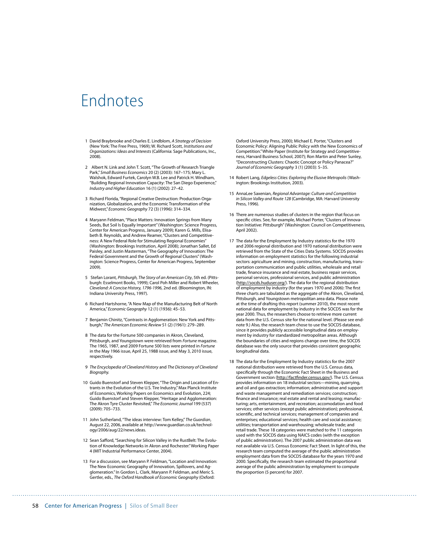### Endnotes

- 1 David Braybrooke and Charles E. Lindblom, A Strategy of Decision (New York: The Free Press, 1969); W. Richard Scott, Institutions and Organizations: Ideas and Interests (California: Sage Publications, Inc., 2008).
- 2 Albert N. Link and John T. Scott, "The Growth of Research Triangle Park," Small Business Economics 20 (2) (2003): 167–175; Mary L. Walshok, Edward Furtek, Carolyn W.B. Lee and Patrick H. Windham, "Building Regional Innovation Capacity: The San Diego Experience," Industry and Higher Education 16 (1) (2002): 27–42.
- 3 Richard Florida, "Regional Creative Destruction: Production Organization, Globalization, and the Economic Transformation of the Midwest," Economic Geography 72 (3) (1996): 314–334.
- 4 Maryann Feldman, "Place Matters: Innovation Springs from Many Seeds, But Soil Is Equally Important" (Washington: Science Progress, Center for American Progress, January 2009); Karen G. Mills, Elisabeth B. Reynolds, and Andrew Reamer, "Clusters and Competitiveness: A New Federal Role for Stimulating Regional Economies" (Washington: Brookings Institution, April 2008); Jonathan Sallet, Ed Paisley, and Justin Masterman, "The Geography of Innovation: The Federal Government and the Growth of Regional Clusters" (Washington: Science Progress, Center for American Progress, September 2009).
- 5 Stefan Lorant, Pittsburgh, The Story of an American City, 5th ed. (Pittsburgh: Esselmont Books, 1999); Carol Poh Miller and Robert Wheeler, Cleveland: A Concise History, 1796-1996, 2nd ed. (Bloomington, IN: Indiana University Press, 1997).
- 6 Richard Hartshorne, "A New Map of the Manufacturing Belt of North America," Economic Geography 12 (1) (1936): 45–53.
- 7 Benjamin Chinitz, "Contrasts in Agglomeration: New York and Pittsburgh," The American Economic Review 51 (2) (1961): 279–289.
- 8 The data for the Fortune 500 companies in Akron, Cleveland, Pittsburgh, and Youngstown were retrieved from Fortune magazine. The 1965, 1987, and 2009 Fortune 500 lists were printed in Fortune in the May 1966 issue, April 25, 1988 issue, and May 3, 2010 issue, respectively.
- 9 The Encyclopedia of Cleveland History and The Dictionary of Cleveland Biography.
- 10 Guido Buenstorf and Steven Klepper, "The Origin and Location of Entrants in the Evolution of the U.S. Tire Industry," Max Planck Institute of Economics, Working Papers on Economics and Evolution, 224; Guido Buenstorf and Steven Klepper, "Heritage and Agglomeration: The Akron Tyre Cluster Revisited," The Economic Journal 199 (537) (2009): 705–733.
- 11 John Sutherland, "The ideas interview: Tom Kelley," The Guardian, August 22, 2006, available at http://www.guardian.co.uk/technology/2006/aug/22/news.ideas.
- 12 Sean Safford, "Searching for Silicon Valley in the RustBelt: The Evolution of Knowledge Networks in Akron and Rochester." Working Paper 4 (MIT Industrial Performance Center, 2004).
- 13 For a discussion, see Maryann P. Feldman, "Location and Innovation: The New Economic Geography of Innovation, Spillovers, and Agglomeration." In Gordon L. Clark, Maryann P. Feldman, and Meric S. Gertler, eds., The Oxford Handbook of Economic Geography (Oxford:

Oxford University Press, 2000); Michael E. Porter, "Clusters and Economic Policy: Aligning Public Policy with the New Economics of Competition." White Paper (Institute for Strategy and Competitiveness, Harvard Business School, 2007); Ron Martin and Peter Sunley, "Deconstructing Clusters: Chaotic Concept or Policy Panacea?" Journal of Economic Geography 3 (1) (2003): 5–35.

- 14 Robert Lang, Edgeless Cities: Exploring the Elusive Metropolis (Washington: Brookings Institution, 2003).
- 15 AnnaLee Saxenian, Regional Advantage: Culture and Competition in Silicon Valley and Route 128 (Cambridge, MA: Harvard University Press, 1996).
- 16 There are numerous studies of clusters in the region that focus on specific cities. See, for example, Michael Porter, "Clusters of Innovation Initiative: Pittsburgh" (Washington: Council on Competitiveness, April 2002).
- 17 The data for the Employment by Industry statistics for the 1970 and 2006 regional distribution and 1970 national distribution were retrieved from the State of the Cities Data Systems. SOCDS provides information on employment statistics for the following industrial sectors: agriculture and mining, construction, manufacturing, transportation communication and public utilities, wholesale and retail trade, finance insurance and real estate, business repair services, personal services, professional services, and public administration (http://socds.huduser.org/). The data for the regional distribution of employment by industry (for the years 1970 and 2006): The first three charts are tabulated as the aggregate of the Akron, Cleveland, Pittsburgh, and Youngstown metropolitan area data. Please note at the time of drafting this report (summer 2010), the most recent national data for employment by industry in the SOCDS was for the year 2000. Thus, the researchers choose to retrieve more current data from the U.S. Census site for the national level. (Please see endnote 9.) Also, the research team chose to use the SOCDS database, since it provides publicly accessible longitudinal data on employment by industry for standardized metropolitan areas. Although the boundaries of cities and regions change over time, the SOCDS database was the only source that provides consistent geographic longitudinal data.
- 18 The data for the Employment by Industry statistics for the 2007 national distribution were retrieved from the U.S. Census data, specifically through the Economic Fact Sheet in the Business and Government section (http://factfinder.census.gov/). The U.S. Census provides information on 18 industrial sectors—mininq, quarrying, and oil and gas extraction; information; administrative and support and waste management and remediation services; construction; finance and insurance; real estate and rental and leasing; manufacturing; arts, entertainment, and recreation; accomodation and food services; other services (except public administration); professional, scientific, and technical services; management of companies and enterprises; educational services; health care and social assistance; utilities; transportation and warehousing; wholesale trade; and retail trade. These 18 categories were matched to the 11 categories used with the SOCDS data using NAICS codes (with the exception of public administration). The 2007 public administration data was not available via U.S. Census Economic Fact Sheet. In light of this, the research team computed the average of the public administration employment data from the SOCDS database for the years 1970 and 2000. Specifically, the research team estimated the proportional average of the public administration by employment to compute the proportion (5 percent) for 2007.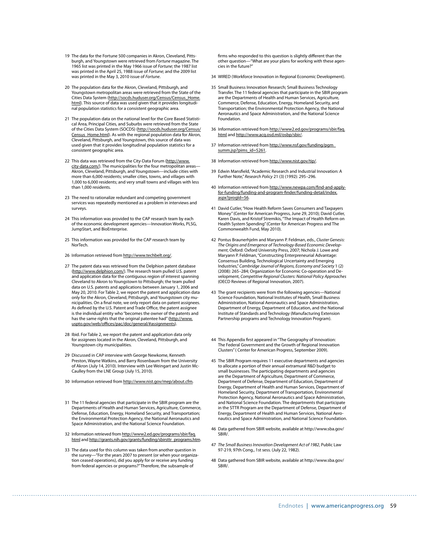- 19 The data for the Fortune 500 companies in Akron, Cleveland, Pittsburgh, and Youngstown were retrieved from Fortune magazine. The 1965 list was printed in the May 1966 issue of Fortune; the 1987 list was printed in the April 25, 1988 issue of Fortune; and the 2009 list was printed in the May 3, 2010 issue of Fortune.
- 20 The population data for the Akron, Cleveland, Pittsburgh, and Youngstown metropolitan areas were retrieved from the State of the Cities Data System (http://socds.huduser.org/Census/Census\_Home. html). This source of data was used given that it provides longitudinal population statistics for a consistent geographic area.
- 21 The population data on the national level for the Core Based Statistical Area, Principal Cities, and Suburbs were retrieved from the State of the Cities Data System (SOCDS) (http://socds.huduser.org/Census/ Census\_Home.html). As with the regional population data for Akron, Cleveland, Pittsburgh, and Youngstown, this source of data was used given that it provides longitudinal population statistics for a consistent geographic area.
- 22 This data was retrieved from the City-Data Forum (http://www. city-data.com/). The municipalities for the four metropolitan areas-Akron, Cleveland, Pittsburgh, and Youngstown—include cities with more than 6,000 residents; smaller cities, towns, and villages with 1,000 to 6,000 residents; and very small towns and villages with less than 1,000 residents.
- 23 The need to rationalize redundant and competing government services was repeatedly mentioned as a problem in interviews and surveys.
- 24 This information was provided to the CAP research team by each of the economic development agencies—Innovation Works, PLSG, JumpStart, and BioEnterprise.
- 25 This information was provided for the CAP research team by NorTech.
- 26 Information retrieved from http://www.techbelt.org/.
- 27 The patent data was retrieved from the Delphion patent database (http://www.delphion.com/). The research team pulled U.S. patent and application data for the contiguous region of interest spanning Cleveland to Akron to Youngstown to Pittsburgh; the team pulled data on U.S. patents and applications between January 1, 2006 and May 20, 2010. For Table 2, we report the patent and application data only for the Akron, Cleveland, Pittsburgh, and Youngstown city municipalities. On a final note, we only report data on patent assignees. As defined by the U.S. Patent and Trade Office, the patent assignee is the individual entity who "becomes the owner of the patents and has the same rights that the original patentee had" (http://www. uspto.gov/web/offices/pac/doc/general/#assignments).
- 28 Ibid. For Table 2, we report the patent and application data only for assignees located in the Akron, Cleveland, Pittsburgh, and Youngstown city municipalities.
- 29 Discussed in CAP interview with George Newkome, Kenneth Preston, Wayne Watkins, and Barry Rosenbaum from the University of Akron (July 14, 2010). Interview with Lee Weingart and Justin Mc-Caulley from the LNE Group (July 15, 2010).
- 30 Information retrieved from http://www.nist.gov/mep/about.cfm.
- 31 The 11 federal agencies that participate in the SBIR program are the Departments of Health and Human Services, Agriculture, Commerce, Defense, Education, Energy, Homeland Security, and Transportation; the Environmental Protection Agency, the National Aeronautics and Space Administration, and the National Science Foundation.
- 32 Information retrieved from http://www2.ed.gov/programs/sbir/faq. html and http://grants.nih.gov/grants/funding/sbirsttr\_programs.htm.
- 33 The data used for this column was taken from another question in the survey—"For the years 2007 to present (or when your organization ceased operations), did you apply for or receive any funding from federal agencies or programs?" Therefore, the subsample of

firms who responded to this question is slightly different than the other question—"What are your plans for working with these agencies in the future?"

- 34 WIRED (Workforce Innovation in Regional Economic Development).
- 35 Small Business Innovation Research; Small Business Technology Transfer. The 11 federal agencies that participate in the SBIR program are the Departments of Health and Human Services, Agriculture, Commerce, Defense, Education, Energy, Homeland Security, and Transportation; the Environmental Protection Agency, the National Aeronautics and Space Administration, and the National Science Foundation.
- 36 Information retrieved from http://www2.ed.gov/programs/sbir/faq. html and http://www.acq.osd.mil/osbp/sbir/.
- 37 Information retrieved from http://www.nsf.gov/funding/pgm\_ summ.isp?pims\_id=5261
- 38 Information retrieved from http://www.nist.gov/tip/.
- 39 Edwin Mansfield, "Academic Research and Industrial Innovation: A Further Note," Research Policy 21 (3) (1992): 295–296.
- 40 Information retrieved from http://www.newpa.com/find-and-applyfor-funding/funding-and-program-finder/funding-detail/index. aspx?progId=56.
- 41 David Cutler,"How Health Reform Saves Consumers and Taxpayers Money" (Center for American Progress, June 29, 2010); David Cutler,<br>Karen Davis, and Kristof Stremikis, "The Impact of Health Reform on Health System Spending" (Center for American Progress and The Commonwealth Fund, May 2010).
- 42 Pontus Braunerhjelm and Maryann P. Feldman, eds., Cluster Genesis: The Origins and Emergence of Technology-Based Economic Develop-ment, Oxford: Oxford University Press, 2007; Nichola J. Lowe and Maryann P. Feldman, "Constructing Enterpreneurial Advantage: Consensus Building, Technological Uncertainty and Emerging Industries," Cambridge Journal of Regions, Economy and Society 1 (2) (2008): 265–284; Organization for Economic Co-operation and Development, Competitive Regional Clusters: National Policy Approaches (OECD Reviews of Regional Innovation, 2007).
- 43 The grant recipients were from the following agencies—National Science Foundation, National Institutes of Health, Small Business Administration, National Aeronautics and Space Administration, Department of Energy, Department of Education, and the National Institute of Standards and Technology (Manufacturing Extension Partnership programs and Technology Innovation Program).
- 44 This Appendix first appeared in "The Geography of Innovation: The Federal Government and the Growth of Regional Innovation Clusters" ( Center for American Progress, September 2009).
- 45 The SBIR Program requires 11 executive departments and agencies to allocate a portion of their annual extramural R&D budget to small businesses. The participating departments and agencies are the Department of Agriculture, Department of Commerce, Department of Defense, Department of Education, Department of Energy, Department of Health and Human Services, Department of Homeland Security, Department of Transportation, Environmental Protection Agency, National Aeronautics and Space Administration, and National Science Foundation. The departments that participate in the STTR Program are the Department of Defense, Department of Energy, Department of Health and Human Services, National Aeronautics and Space Administration, and National Science Foundation.
- 46 Data gathered from SBIR website, available at http://www.sba.gov/ SBIR/.
- 47 The Small Business Innovation Development Act of 1982, Public Law 97-219, 97th Cong., 1st sess. (July 22, 1982).
- 48 Data gathered from SBIR website, available at http://www.sba.gov/ SBIR/.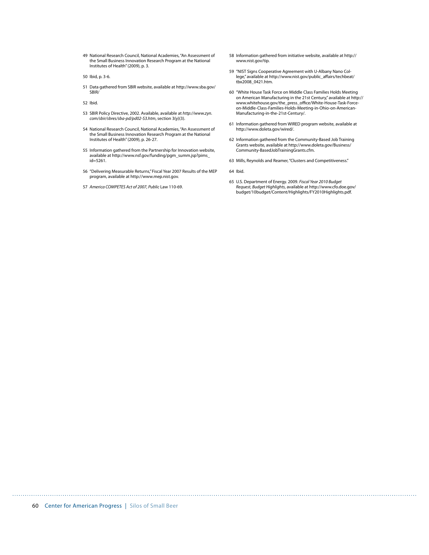- 49 National Research Council, National Academies, "An Assessment of the Small Business Innovation Research Program at the National Institutes of Health" (2009), p. 3.
- 50 Ibid, p. 3-6.
- 51 Data gathered from SBIR website, available at http://www.sba.gov/ SBIR/
- 52 Ibid.
- 53 SBIR Policy Directive, 2002. Available, available at http://www.zyn. com/sbir/sbres/sba-pd/pd02-S3.htm, section 3(y)(3).
- 54 National Research Council, National Academies, "An Assessment of the Small Business Innovation Research Program at the National Institutes of Health" (2009), p. 26-27.
- 55 Information gathered from the Partnership for Innovation website, available at http://www.nsf.gov/funding/pgm\_summ.jsp?pims\_ id=5261.
- 56 "Delivering Measurable Returns," Fiscal Year 2007 Results of the MEP program, available at http://www.mep.nist.gov.
- 57 America COMPETES Act of 2007, Public Law 110-69.
- 58 Information gathered from initiative website, available at http:// www.nist.gov/tip.
- 59 "NIST Signs Cooperative Agreement with U-Albany Nano College," available at http://www.nist.gov/public\_affairs/techbeat/ tbx2008\_0421.htm.
- 60 "White House Task Force on Middle Class Families Holds Meeting on American Manufacturing in the 21st Century," available at http:// www.whitehouse.gov/the\_press\_office/White-House-Task-Forceon-Middle-Class-Families-Holds-Meeting-in-Ohio-on-American-Manufacturing-in-the-21st-Century/.
- 61 Information gathered from WIRED program website, available at http://www.doleta.gov/wired/.
- 62 Information gathered from the Community-Based Job Training Grants website, available at http://www.doleta.gov/Business/ Community-BasedJobTrainingGrants.cfm.
- 63 Mills, Reynolds and Reamer, "Clusters and Competitiveness."
- 64 Ibid.

65 U.S. Department of Energy. 2009. Fiscal Year 2010 Budget Request, Budget Highlights, available at http://www.cfo.doe.gov/ budget/10budget/Content/Highlights/FY2010Highlights.pdf.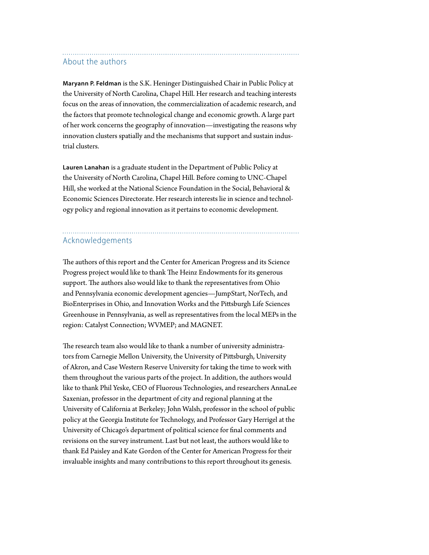#### About the authors

**Maryann P. Feldman** is the S.K. Heninger Distinguished Chair in Public Policy at the University of North Carolina, Chapel Hill. Her research and teaching interests focus on the areas of innovation, the commercialization of academic research, and the factors that promote technological change and economic growth. A large part of her work concerns the geography of innovation—investigating the reasons why innovation clusters spatially and the mechanisms that support and sustain industrial clusters.

**Lauren Lanahan** is a graduate student in the Department of Public Policy at the University of North Carolina, Chapel Hill. Before coming to UNC-Chapel Hill, she worked at the National Science Foundation in the Social, Behavioral & Economic Sciences Directorate. Her research interests lie in science and technology policy and regional innovation as it pertains to economic development.

### Acknowledgements

The authors of this report and the Center for American Progress and its Science Progress project would like to thank The Heinz Endowments for its generous support. The authors also would like to thank the representatives from Ohio and Pennsylvania economic development agencies—JumpStart, NorTech, and BioEnterprises in Ohio, and Innovation Works and the Pittsburgh Life Sciences Greenhouse in Pennsylvania, as well as representatives from the local MEPs in the region: Catalyst Connection; WVMEP; and MAGNET.

The research team also would like to thank a number of university administrators from Carnegie Mellon University, the University of Pittsburgh, University of Akron, and Case Western Reserve University for taking the time to work with them throughout the various parts of the project. In addition, the authors would like to thank Phil Yeske, CEO of Fluorous Technologies, and researchers AnnaLee Saxenian, professor in the department of city and regional planning at the University of California at Berkeley; John Walsh, professor in the school of public policy at the Georgia Institute for Technology, and Professor Gary Herrigel at the University of Chicago's department of political science for final comments and revisions on the survey instrument. Last but not least, the authors would like to thank Ed Paisley and Kate Gordon of the Center for American Progress for their invaluable insights and many contributions to this report throughout its genesis.